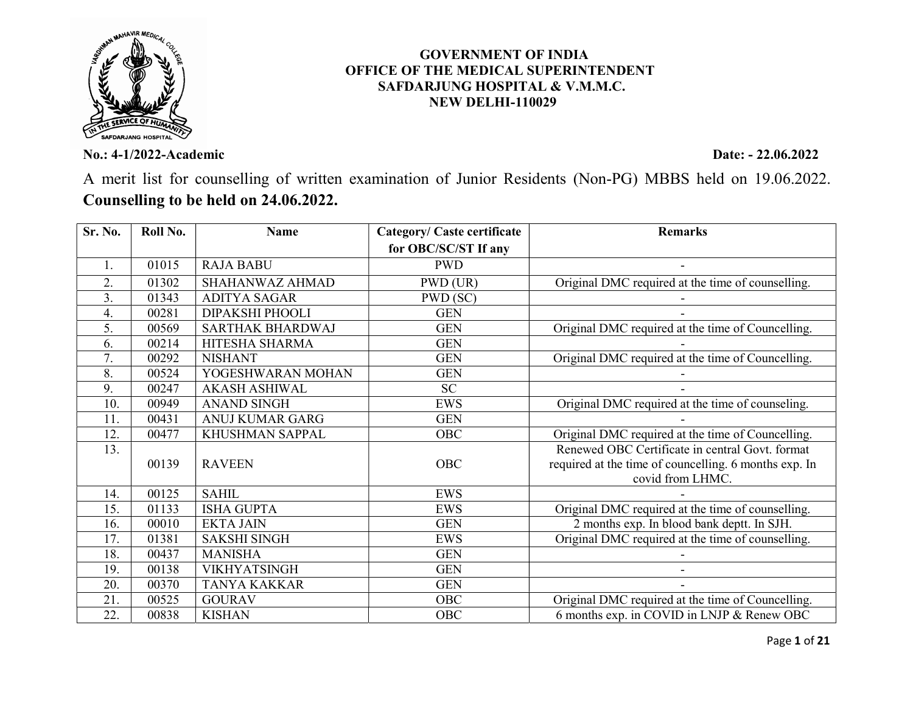

No.: 4-1/2022-Academic Date: - 22.06.2022

A merit list for counselling of written examination of Junior Residents (Non-PG) MBBS held on 19.06.2022. Counselling to be held on 24.06.2022.

 GOVERNMENT OF INDIA OFFICE OF THE MEDICAL SUPERINTENDENT SAFDARJUNG HOSPITAL & V.M.M.C. NEW DELHI-110029

| Sr. No.          | Roll No. | <b>Name</b>          | <b>Category/ Caste certificate</b> | <b>Remarks</b>                                                                                                               |
|------------------|----------|----------------------|------------------------------------|------------------------------------------------------------------------------------------------------------------------------|
|                  |          |                      | for OBC/SC/ST If any               |                                                                                                                              |
| 1.               | 01015    | <b>RAJA BABU</b>     | <b>PWD</b>                         |                                                                                                                              |
| $\overline{2}$ . | 01302    | SHAHANWAZ AHMAD      | PWD (UR)                           | Original DMC required at the time of counselling.                                                                            |
| 3.               | 01343    | <b>ADITYA SAGAR</b>  | PWD (SC)                           |                                                                                                                              |
| 4.               | 00281    | DIPAKSHI PHOOLI      | <b>GEN</b>                         |                                                                                                                              |
| 5.               | 00569    | SARTHAK BHARDWAJ     | <b>GEN</b>                         | Original DMC required at the time of Councelling.                                                                            |
| 6.               | 00214    | HITESHA SHARMA       | <b>GEN</b>                         |                                                                                                                              |
|                  | 00292    | <b>NISHANT</b>       | <b>GEN</b>                         | Original DMC required at the time of Councelling.                                                                            |
| 8.               | 00524    | YOGESHWARAN MOHAN    | <b>GEN</b>                         |                                                                                                                              |
| 9.               | 00247    | <b>AKASH ASHIWAL</b> | <b>SC</b>                          |                                                                                                                              |
| 10.              | 00949    | <b>ANAND SINGH</b>   | EWS                                | Original DMC required at the time of counseling.                                                                             |
| 11.              | 00431    | ANUJ KUMAR GARG      | <b>GEN</b>                         |                                                                                                                              |
| 12.              | 00477    | KHUSHMAN SAPPAL      | OBC                                | Original DMC required at the time of Councelling.                                                                            |
| 13.              | 00139    | <b>RAVEEN</b>        | OBC                                | Renewed OBC Certificate in central Govt. format<br>required at the time of councelling. 6 months exp. In<br>covid from LHMC. |
| 14.              | 00125    | <b>SAHIL</b>         | <b>EWS</b>                         |                                                                                                                              |
| 15.              | 01133    | <b>ISHA GUPTA</b>    | <b>EWS</b>                         | Original DMC required at the time of counselling.                                                                            |
| 16.              | 00010    | <b>EKTA JAIN</b>     | <b>GEN</b>                         | 2 months exp. In blood bank deptt. In SJH.                                                                                   |
| 17.              | 01381    | <b>SAKSHI SINGH</b>  | <b>EWS</b>                         | Original DMC required at the time of counselling.                                                                            |
| 18.              | 00437    | <b>MANISHA</b>       | <b>GEN</b>                         |                                                                                                                              |
| 19.              | 00138    | <b>VIKHYATSINGH</b>  | <b>GEN</b>                         |                                                                                                                              |
| 20.              | 00370    | <b>TANYA KAKKAR</b>  | <b>GEN</b>                         |                                                                                                                              |
| 21.              | 00525    | <b>GOURAV</b>        | OBC                                | Original DMC required at the time of Councelling.                                                                            |
| 22.              | 00838    | <b>KISHAN</b>        | OBC                                | 6 months exp. in COVID in LNJP & Renew OBC                                                                                   |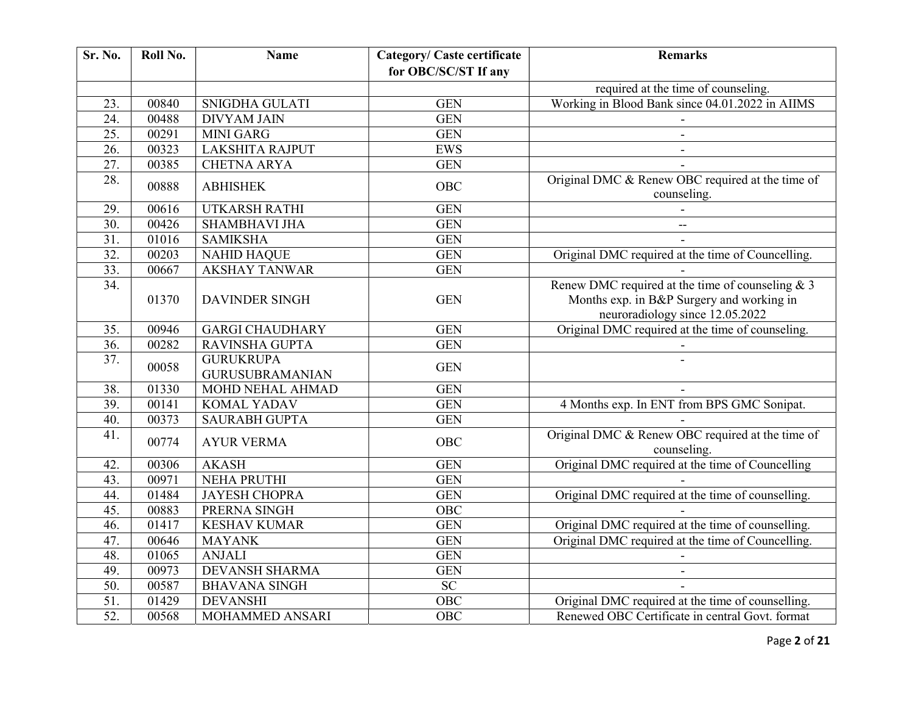| Sr. No.           | Roll No. | <b>Name</b>                                | <b>Category/ Caste certificate</b> | <b>Remarks</b>                                                                                                                     |
|-------------------|----------|--------------------------------------------|------------------------------------|------------------------------------------------------------------------------------------------------------------------------------|
|                   |          |                                            | for OBC/SC/ST If any               |                                                                                                                                    |
|                   |          |                                            |                                    | required at the time of counseling.                                                                                                |
| 23.               | 00840    | <b>SNIGDHA GULATI</b>                      | <b>GEN</b>                         | Working in Blood Bank since 04.01.2022 in AIIMS                                                                                    |
| 24.               | 00488    | <b>DIVYAM JAIN</b>                         | <b>GEN</b>                         |                                                                                                                                    |
| $\overline{25}$ . | 00291    | <b>MINI GARG</b>                           | <b>GEN</b>                         | $\blacksquare$                                                                                                                     |
| 26.               | 00323    | <b>LAKSHITA RAJPUT</b>                     | EWS                                | $\blacksquare$                                                                                                                     |
| $\overline{27}$ . | 00385    | <b>CHETNA ARYA</b>                         | <b>GEN</b>                         |                                                                                                                                    |
| 28.               | 00888    | <b>ABHISHEK</b>                            | <b>OBC</b>                         | Original DMC & Renew OBC required at the time of<br>counseling.                                                                    |
| 29.               | 00616    | UTKARSH RATHI                              | <b>GEN</b>                         |                                                                                                                                    |
| 30.               | 00426    | <b>SHAMBHAVI JHA</b>                       | <b>GEN</b>                         | $\overline{a}$                                                                                                                     |
| $\overline{31}$ . | 01016    | <b>SAMIKSHA</b>                            | <b>GEN</b>                         |                                                                                                                                    |
| $\overline{32}$ . | 00203    | <b>NAHID HAQUE</b>                         | <b>GEN</b>                         | Original DMC required at the time of Councelling.                                                                                  |
| 33.               | 00667    | <b>AKSHAY TANWAR</b>                       | <b>GEN</b>                         |                                                                                                                                    |
| 34.               | 01370    | <b>DAVINDER SINGH</b>                      | <b>GEN</b>                         | Renew DMC required at the time of counseling $& 3$<br>Months exp. in B&P Surgery and working in<br>neuroradiology since 12.05.2022 |
| 35.               | 00946    | <b>GARGI CHAUDHARY</b>                     | <b>GEN</b>                         | Original DMC required at the time of counseling.                                                                                   |
| 36.               | 00282    | <b>RAVINSHA GUPTA</b>                      | <b>GEN</b>                         |                                                                                                                                    |
| 37.               | 00058    | <b>GURUKRUPA</b><br><b>GURUSUBRAMANIAN</b> | <b>GEN</b>                         |                                                                                                                                    |
| 38.               | 01330    | MOHD NEHAL AHMAD                           | <b>GEN</b>                         |                                                                                                                                    |
| 39.               | 00141    | <b>KOMAL YADAV</b>                         | <b>GEN</b>                         | 4 Months exp. In ENT from BPS GMC Sonipat.                                                                                         |
| 40.               | 00373    | <b>SAURABH GUPTA</b>                       | <b>GEN</b>                         |                                                                                                                                    |
| 41.               | 00774    | <b>AYUR VERMA</b>                          | <b>OBC</b>                         | Original DMC & Renew OBC required at the time of<br>counseling.                                                                    |
| 42.               | 00306    | <b>AKASH</b>                               | <b>GEN</b>                         | Original DMC required at the time of Councelling                                                                                   |
| 43.               | 00971    | NEHA PRUTHI                                | <b>GEN</b>                         |                                                                                                                                    |
| 44.               | 01484    | <b>JAYESH CHOPRA</b>                       | <b>GEN</b>                         | Original DMC required at the time of counselling.                                                                                  |
| 45.               | 00883    | PRERNA SINGH                               | OBC                                |                                                                                                                                    |
| 46.               | 01417    | <b>KESHAV KUMAR</b>                        | <b>GEN</b>                         | Original DMC required at the time of counselling.                                                                                  |
| 47.               | 00646    | <b>MAYANK</b>                              | <b>GEN</b>                         | Original DMC required at the time of Councelling.                                                                                  |
| 48.               | 01065    | <b>ANJALI</b>                              | <b>GEN</b>                         |                                                                                                                                    |
| 49.               | 00973    | <b>DEVANSH SHARMA</b>                      | <b>GEN</b>                         |                                                                                                                                    |
| $\overline{50}$ . | 00587    | <b>BHAVANA SINGH</b>                       | SC                                 |                                                                                                                                    |
| $\overline{51}$ . | 01429    | <b>DEVANSHI</b>                            | OBC                                | Original DMC required at the time of counselling.                                                                                  |
| $\overline{52}$   | 00568    | MOHAMMED ANSARI                            | OBC                                | Renewed OBC Certificate in central Govt. format                                                                                    |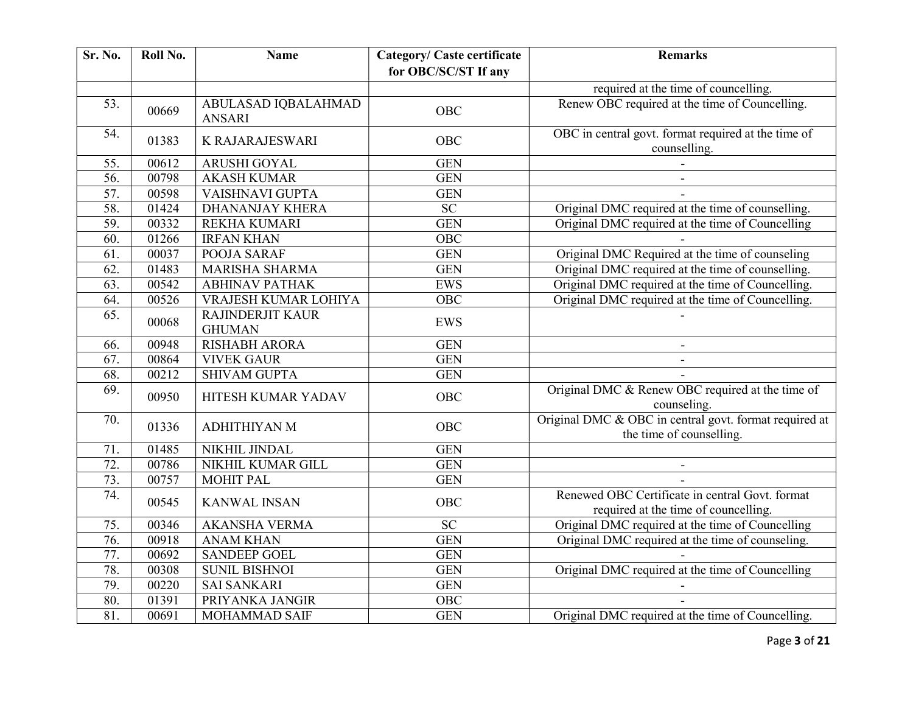| Sr. No.           | Roll No. | <b>Name</b>                              | <b>Category/ Caste certificate</b> | <b>Remarks</b>                                                                          |
|-------------------|----------|------------------------------------------|------------------------------------|-----------------------------------------------------------------------------------------|
|                   |          |                                          | for OBC/SC/ST If any               |                                                                                         |
|                   |          |                                          |                                    | required at the time of councelling.                                                    |
| 53.               | 00669    | ABULASAD IQBALAHMAD<br><b>ANSARI</b>     | <b>OBC</b>                         | Renew OBC required at the time of Councelling.                                          |
| 54.               | 01383    | <b>K RAJARAJESWARI</b>                   | OBC                                | OBC in central govt. format required at the time of<br>counselling.                     |
| 55.               | 00612    | ARUSHI GOYAL                             | <b>GEN</b>                         |                                                                                         |
| 56.               | 00798    | <b>AKASH KUMAR</b>                       | <b>GEN</b>                         |                                                                                         |
| $\overline{57}$ . | 00598    | VAISHNAVI GUPTA                          | <b>GEN</b>                         |                                                                                         |
| 58.               | 01424    | <b>DHANANJAY KHERA</b>                   | <b>SC</b>                          | Original DMC required at the time of counselling.                                       |
| 59.               | 00332    | REKHA KUMARI                             | <b>GEN</b>                         | Original DMC required at the time of Councelling                                        |
| $\overline{60}$ . | 01266    | <b>IRFAN KHAN</b>                        | OBC                                |                                                                                         |
| 61.               | 00037    | POOJA SARAF                              | <b>GEN</b>                         | Original DMC Required at the time of counseling                                         |
| 62.               | 01483    | MARISHA SHARMA                           | <b>GEN</b>                         | Original DMC required at the time of counselling.                                       |
| $\overline{63}$ . | 00542    | <b>ABHINAV PATHAK</b>                    | EWS                                | Original DMC required at the time of Councelling.                                       |
| 64.               | 00526    | VRAJESH KUMAR LOHIYA                     | $\overline{OBC}$                   | Original DMC required at the time of Councelling.                                       |
| 65.               | 00068    | <b>RAJINDERJIT KAUR</b><br><b>GHUMAN</b> | <b>EWS</b>                         |                                                                                         |
| 66.               | 00948    | <b>RISHABH ARORA</b>                     | <b>GEN</b>                         |                                                                                         |
| $\overline{67}$ . | 00864    | <b>VIVEK GAUR</b>                        | <b>GEN</b>                         |                                                                                         |
| $\overline{68}$   | 00212    | <b>SHIVAM GUPTA</b>                      | <b>GEN</b>                         |                                                                                         |
| 69.               | 00950    | HITESH KUMAR YADAV                       | OBC                                | Original DMC & Renew OBC required at the time of<br>counseling.                         |
| 70.               | 01336    | ADHITHIYAN M                             | OBC                                | Original DMC & OBC in central govt. format required at<br>the time of counselling.      |
| 71.               | 01485    | NIKHIL JINDAL                            | <b>GEN</b>                         |                                                                                         |
| $\overline{72}$ . | 00786    | NIKHIL KUMAR GILL                        | <b>GEN</b>                         | $\overline{\phantom{a}}$                                                                |
| 73.               | 00757    | <b>MOHIT PAL</b>                         | <b>GEN</b>                         |                                                                                         |
| 74.               | 00545    | <b>KANWAL INSAN</b>                      | OBC                                | Renewed OBC Certificate in central Govt. format<br>required at the time of councelling. |
| 75.               | 00346    | <b>AKANSHA VERMA</b>                     | <b>SC</b>                          | Original DMC required at the time of Councelling                                        |
| 76.               | 00918    | <b>ANAM KHAN</b>                         | <b>GEN</b>                         | Original DMC required at the time of counseling.                                        |
| 77.               | 00692    | <b>SANDEEP GOEL</b>                      | <b>GEN</b>                         |                                                                                         |
| 78.               | 00308    | <b>SUNIL BISHNOI</b>                     | <b>GEN</b>                         | Original DMC required at the time of Councelling                                        |
| 79.               | 00220    | <b>SAI SANKARI</b>                       | <b>GEN</b>                         |                                                                                         |
| 80.               | 01391    | PRIYANKA JANGIR                          | $\overline{OBC}$                   |                                                                                         |
| $\overline{81}$ . | 00691    | MOHAMMAD SAIF                            | <b>GEN</b>                         | Original DMC required at the time of Councelling.                                       |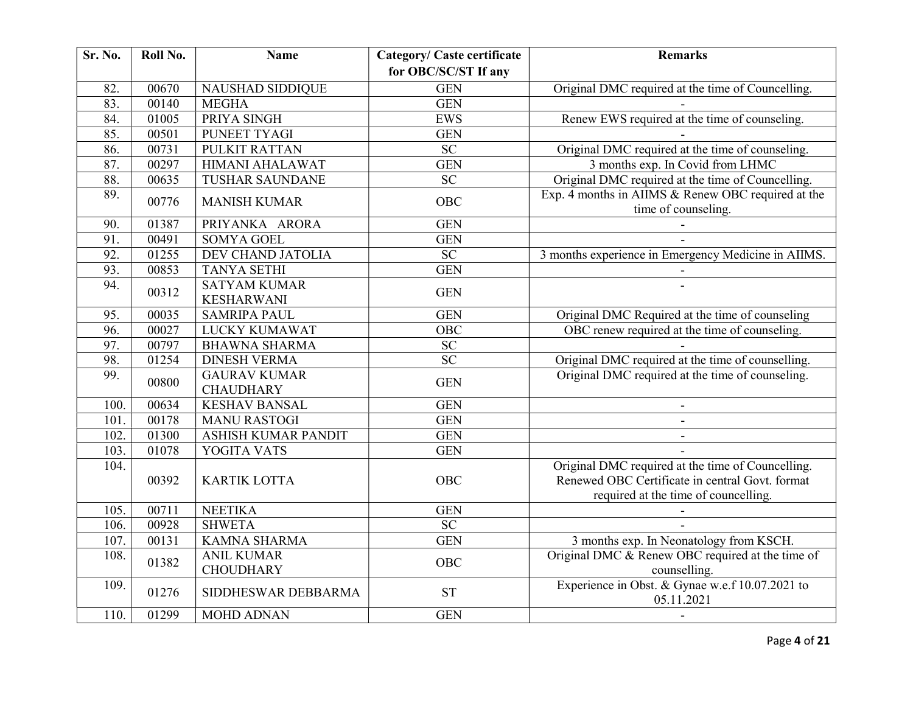| <b>Sr. No.</b> | Roll No. | <b>Name</b>                             | <b>Category/ Caste certificate</b> | <b>Remarks</b>                                                                                                                               |
|----------------|----------|-----------------------------------------|------------------------------------|----------------------------------------------------------------------------------------------------------------------------------------------|
|                |          |                                         | for OBC/SC/ST If any               |                                                                                                                                              |
| 82.            | 00670    | <b>NAUSHAD SIDDIQUE</b>                 | <b>GEN</b>                         | Original DMC required at the time of Councelling.                                                                                            |
| 83.            | 00140    | <b>MEGHA</b>                            | <b>GEN</b>                         |                                                                                                                                              |
| 84.            | 01005    | PRIYA SINGH                             | <b>EWS</b>                         | Renew EWS required at the time of counseling.                                                                                                |
| 85.            | 00501    | PUNEET TYAGI                            | <b>GEN</b>                         |                                                                                                                                              |
| 86.            | 00731    | <b>PULKIT RATTAN</b>                    | <b>SC</b>                          | Original DMC required at the time of counseling.                                                                                             |
| 87.            | 00297    | <b>HIMANI AHALAWAT</b>                  | <b>GEN</b>                         | 3 months exp. In Covid from LHMC                                                                                                             |
| 88.            | 00635    | <b>TUSHAR SAUNDANE</b>                  | <b>SC</b>                          | Original DMC required at the time of Councelling.                                                                                            |
| 89.            | 00776    | <b>MANISH KUMAR</b>                     | <b>OBC</b>                         | Exp. 4 months in AIIMS & Renew OBC required at the<br>time of counseling.                                                                    |
| 90.            | 01387    | PRIYANKA ARORA                          | <b>GEN</b>                         |                                                                                                                                              |
| 91.            | 00491    | <b>SOMYA GOEL</b>                       | <b>GEN</b>                         |                                                                                                                                              |
| 92.            | 01255    | <b>DEV CHAND JATOLIA</b>                | <b>SC</b>                          | 3 months experience in Emergency Medicine in AIIMS.                                                                                          |
| 93.            | 00853    | <b>TANYA SETHI</b>                      | <b>GEN</b>                         |                                                                                                                                              |
| 94.            | 00312    | <b>SATYAM KUMAR</b>                     | <b>GEN</b>                         |                                                                                                                                              |
|                |          | <b>KESHARWANI</b>                       |                                    |                                                                                                                                              |
| 95.            | 00035    | <b>SAMRIPA PAUL</b>                     | <b>GEN</b>                         | Original DMC Required at the time of counseling                                                                                              |
| 96.            | 00027    | LUCKY KUMAWAT                           | $\overline{OBC}$                   | OBC renew required at the time of counseling.                                                                                                |
| 97.            | 00797    | <b>BHAWNA SHARMA</b>                    | $\overline{SC}$                    |                                                                                                                                              |
| 98.            | 01254    | <b>DINESH VERMA</b>                     | $\overline{SC}$                    | Original DMC required at the time of counselling.                                                                                            |
| 99.            | 00800    | <b>GAURAV KUMAR</b><br><b>CHAUDHARY</b> | <b>GEN</b>                         | Original DMC required at the time of counseling.                                                                                             |
| 100.           | 00634    | <b>KESHAV BANSAL</b>                    | <b>GEN</b>                         |                                                                                                                                              |
| 101.           | 00178    | <b>MANU RASTOGI</b>                     | <b>GEN</b>                         | $\blacksquare$                                                                                                                               |
| 102.           | 01300    | <b>ASHISH KUMAR PANDIT</b>              | <b>GEN</b>                         | $\sim$                                                                                                                                       |
| 103.           | 01078    | YOGITA VATS                             | <b>GEN</b>                         |                                                                                                                                              |
| 104.           | 00392    | <b>KARTIK LOTTA</b>                     | OBC                                | Original DMC required at the time of Councelling.<br>Renewed OBC Certificate in central Govt. format<br>required at the time of councelling. |
| 105.           | 00711    | <b>NEETIKA</b>                          | <b>GEN</b>                         |                                                                                                                                              |
| 106.           | 00928    | <b>SHWETA</b>                           | $\overline{SC}$                    |                                                                                                                                              |
| 107.           | 00131    | <b>KAMNA SHARMA</b>                     | <b>GEN</b>                         | 3 months exp. In Neonatology from KSCH.                                                                                                      |
| 108.           | 01382    | <b>ANIL KUMAR</b><br><b>CHOUDHARY</b>   | <b>OBC</b>                         | Original DMC & Renew OBC required at the time of<br>counselling.                                                                             |
| 109.           | 01276    | SIDDHESWAR DEBBARMA                     | <b>ST</b>                          | Experience in Obst. & Gynae w.e.f 10.07.2021 to<br>05.11.2021                                                                                |
| 110.           | 01299    | <b>MOHD ADNAN</b>                       | <b>GEN</b>                         |                                                                                                                                              |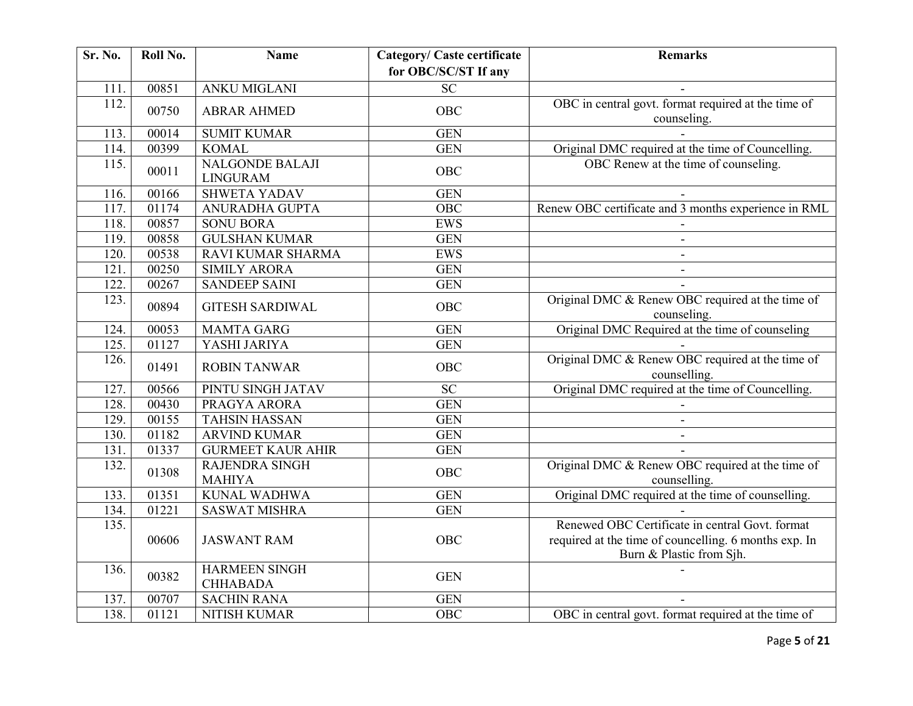| Sr. No. | Roll No. | <b>Name</b>                               | <b>Category/ Caste certificate</b> | <b>Remarks</b>                                                                    |
|---------|----------|-------------------------------------------|------------------------------------|-----------------------------------------------------------------------------------|
|         |          |                                           | for OBC/SC/ST If any               |                                                                                   |
| 111.    | 00851    | <b>ANKU MIGLANI</b>                       | $\overline{SC}$                    |                                                                                   |
| 112.    | 00750    | <b>ABRAR AHMED</b>                        | <b>OBC</b>                         | OBC in central govt. format required at the time of<br>counseling.                |
| 113.    | 00014    | <b>SUMIT KUMAR</b>                        | <b>GEN</b>                         |                                                                                   |
| 114.    | 00399    | <b>KOMAL</b>                              | <b>GEN</b>                         | Original DMC required at the time of Councelling.                                 |
| 115.    | 00011    | <b>NALGONDE BALAJI</b><br><b>LINGURAM</b> | <b>OBC</b>                         | OBC Renew at the time of counseling.                                              |
| 116.    | 00166    | <b>SHWETA YADAV</b>                       | <b>GEN</b>                         |                                                                                   |
| 117.    | 01174    | ANURADHA GUPTA                            | <b>OBC</b>                         | Renew OBC certificate and 3 months experience in RML                              |
| 118.    | 00857    | <b>SONU BORA</b>                          | <b>EWS</b>                         |                                                                                   |
| 119.    | 00858    | <b>GULSHAN KUMAR</b>                      | <b>GEN</b>                         |                                                                                   |
| 120.    | 00538    | RAVI KUMAR SHARMA                         | <b>EWS</b>                         | $\blacksquare$                                                                    |
| 121.    | 00250    | <b>SIMILY ARORA</b>                       | <b>GEN</b>                         |                                                                                   |
| 122.    | 00267    | <b>SANDEEP SAINI</b>                      | <b>GEN</b>                         |                                                                                   |
| 123.    | 00894    | <b>GITESH SARDIWAL</b>                    | <b>OBC</b>                         | Original DMC & Renew OBC required at the time of<br>counseling.                   |
| 124.    | 00053    | <b>MAMTA GARG</b>                         | <b>GEN</b>                         | Original DMC Required at the time of counseling                                   |
| 125.    | 01127    | YASHI JARIYA                              | <b>GEN</b>                         |                                                                                   |
| 126.    | 01491    | <b>ROBIN TANWAR</b>                       | <b>OBC</b>                         | Original DMC & Renew OBC required at the time of<br>counselling.                  |
| 127.    | 00566    | PINTU SINGH JATAV                         | <b>SC</b>                          | Original DMC required at the time of Councelling.                                 |
| 128.    | 00430    | PRAGYA ARORA                              | <b>GEN</b>                         |                                                                                   |
| 129.    | 00155    | <b>TAHSIN HASSAN</b>                      | <b>GEN</b>                         | $\blacksquare$                                                                    |
| 130.    | 01182    | <b>ARVIND KUMAR</b>                       | <b>GEN</b>                         | $\mathbf{r}$                                                                      |
| 131.    | 01337    | <b>GURMEET KAUR AHIR</b>                  | <b>GEN</b>                         |                                                                                   |
| 132.    | 01308    | RAJENDRA SINGH<br><b>MAHIYA</b>           | <b>OBC</b>                         | Original DMC & Renew OBC required at the time of<br>counselling.                  |
| 133.    | 01351    | <b>KUNAL WADHWA</b>                       | <b>GEN</b>                         | Original DMC required at the time of counselling.                                 |
| 134.    | 01221    | <b>SASWAT MISHRA</b>                      | <b>GEN</b>                         |                                                                                   |
| 135.    |          |                                           |                                    | Renewed OBC Certificate in central Govt. format                                   |
|         | 00606    | <b>JASWANT RAM</b>                        | OBC                                | required at the time of councelling. 6 months exp. In<br>Burn & Plastic from Sjh. |
| 136.    | 00382    | <b>HARMEEN SINGH</b><br><b>CHHABADA</b>   | <b>GEN</b>                         |                                                                                   |
| 137.    | 00707    | <b>SACHIN RANA</b>                        | <b>GEN</b>                         |                                                                                   |
| 138.    | 01121    | NITISH KUMAR                              | $\overline{OBC}$                   | OBC in central govt. format required at the time of                               |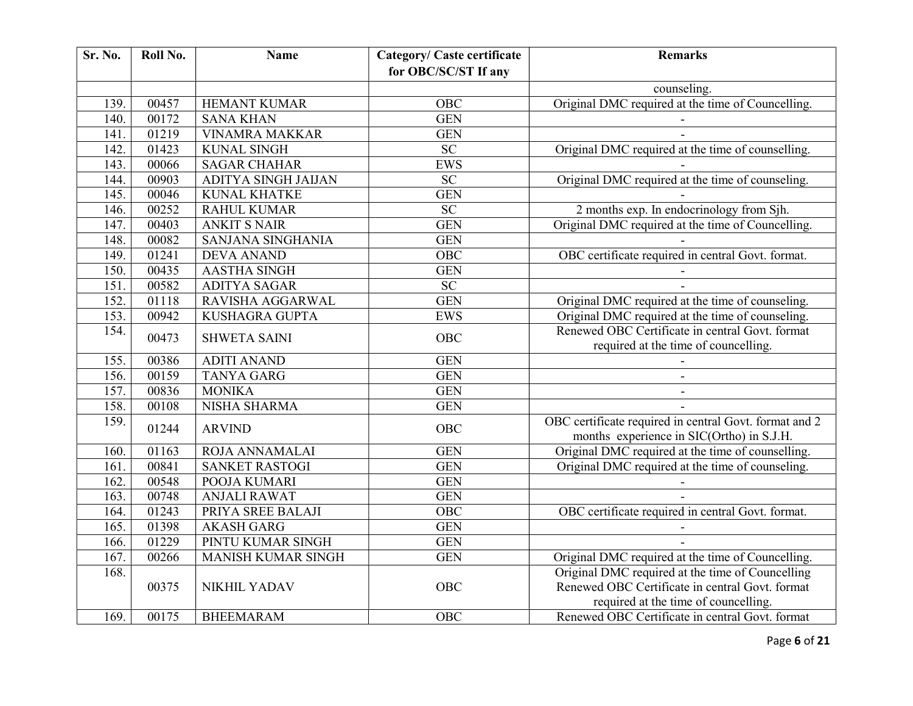| Sr. No. | Roll No. | <b>Name</b>           | Category/ Caste certificate | <b>Remarks</b>                                                                                      |
|---------|----------|-----------------------|-----------------------------|-----------------------------------------------------------------------------------------------------|
|         |          |                       | for OBC/SC/ST If any        |                                                                                                     |
|         |          |                       |                             | counseling.                                                                                         |
| 139.    | 00457    | HEMANT KUMAR          | OBC                         | Original DMC required at the time of Councelling.                                                   |
| 140.    | 00172    | <b>SANA KHAN</b>      | <b>GEN</b>                  |                                                                                                     |
| 141.    | 01219    | <b>VINAMRA MAKKAR</b> | <b>GEN</b>                  |                                                                                                     |
| 142.    | 01423    | <b>KUNAL SINGH</b>    | $\overline{SC}$             | Original DMC required at the time of counselling.                                                   |
| 143.    | 00066    | <b>SAGAR CHAHAR</b>   | EWS                         |                                                                                                     |
| 144.    | 00903    | ADITYA SINGH JAIJAN   | <b>SC</b>                   | Original DMC required at the time of counseling.                                                    |
| 145.    | 00046    | <b>KUNAL KHATKE</b>   | <b>GEN</b>                  |                                                                                                     |
| 146.    | 00252    | <b>RAHUL KUMAR</b>    | $\overline{SC}$             | 2 months exp. In endocrinology from Sjh.                                                            |
| 147.    | 00403    | <b>ANKIT S NAIR</b>   | <b>GEN</b>                  | Original DMC required at the time of Councelling.                                                   |
| 148.    | 00082    | SANJANA SINGHANIA     | <b>GEN</b>                  |                                                                                                     |
| 149.    | 01241    | <b>DEVA ANAND</b>     | OBC                         | OBC certificate required in central Govt. format.                                                   |
| 150.    | 00435    | <b>AASTHA SINGH</b>   | <b>GEN</b>                  |                                                                                                     |
| 151.    | 00582    | <b>ADITYA SAGAR</b>   | $\overline{SC}$             |                                                                                                     |
| 152.    | 01118    | RAVISHA AGGARWAL      | <b>GEN</b>                  | Original DMC required at the time of counseling.                                                    |
| 153.    | 00942    | KUSHAGRA GUPTA        | <b>EWS</b>                  | Original DMC required at the time of counseling.                                                    |
| 154.    | 00473    | <b>SHWETA SAINI</b>   | <b>OBC</b>                  | Renewed OBC Certificate in central Govt. format<br>required at the time of councelling.             |
| 155.    | 00386    | <b>ADITI ANAND</b>    | <b>GEN</b>                  |                                                                                                     |
| 156.    | 00159    | <b>TANYA GARG</b>     | <b>GEN</b>                  |                                                                                                     |
| 157.    | 00836    | <b>MONIKA</b>         | <b>GEN</b>                  |                                                                                                     |
| 158.    | 00108    | <b>NISHA SHARMA</b>   | <b>GEN</b>                  |                                                                                                     |
| 159.    | 01244    | <b>ARVIND</b>         | <b>OBC</b>                  | OBC certificate required in central Govt. format and 2<br>months experience in SIC(Ortho) in S.J.H. |
| 160.    | 01163    | ROJA ANNAMALAI        | <b>GEN</b>                  | Original DMC required at the time of counselling.                                                   |
| 161.    | 00841    | <b>SANKET RASTOGI</b> | <b>GEN</b>                  | Original DMC required at the time of counseling.                                                    |
| 162.    | 00548    | POOJA KUMARI          | <b>GEN</b>                  |                                                                                                     |
| 163.    | 00748    | <b>ANJALI RAWAT</b>   | <b>GEN</b>                  |                                                                                                     |
| 164.    | 01243    | PRIYA SREE BALAJI     | <b>OBC</b>                  | OBC certificate required in central Govt. format.                                                   |
| 165.    | 01398    | <b>AKASH GARG</b>     | <b>GEN</b>                  |                                                                                                     |
| 166.    | 01229    | PINTU KUMAR SINGH     | <b>GEN</b>                  |                                                                                                     |
| 167.    | 00266    | MANISH KUMAR SINGH    | <b>GEN</b>                  | Original DMC required at the time of Councelling.                                                   |
| 168.    |          |                       |                             | Original DMC required at the time of Councelling                                                    |
|         | 00375    | <b>NIKHIL YADAV</b>   | OBC                         | Renewed OBC Certificate in central Govt. format                                                     |
|         |          |                       |                             | required at the time of councelling.                                                                |
| 169.    | 00175    | <b>BHEEMARAM</b>      | OBC                         | Renewed OBC Certificate in central Govt. format                                                     |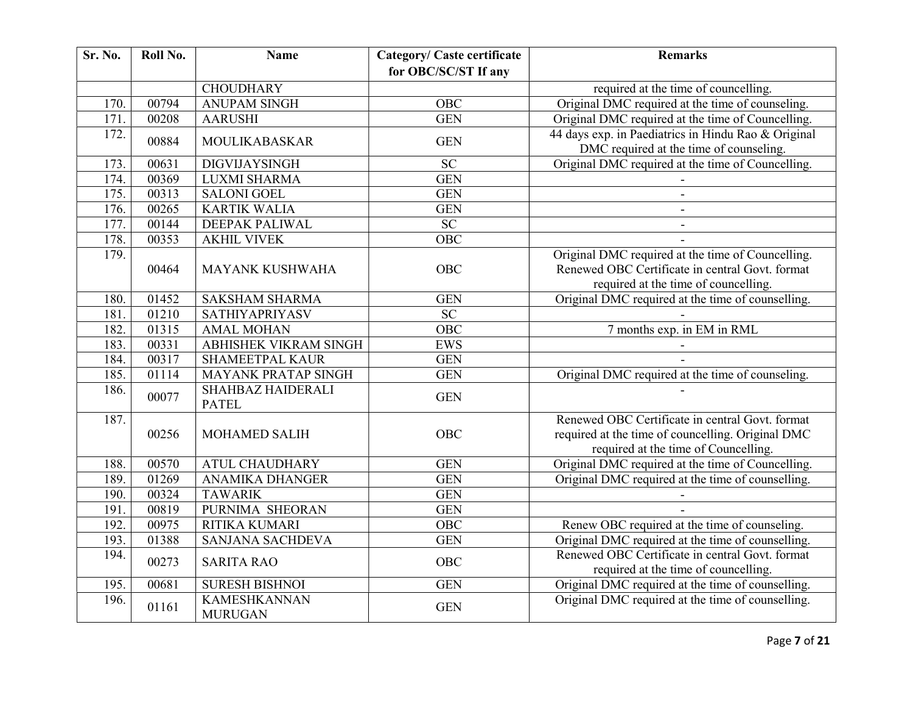| Sr. No. | Roll No. | <b>Name</b>                              | <b>Category/ Caste certificate</b> | <b>Remarks</b>                                                                                                                               |
|---------|----------|------------------------------------------|------------------------------------|----------------------------------------------------------------------------------------------------------------------------------------------|
|         |          |                                          | for OBC/SC/ST If any               |                                                                                                                                              |
|         |          | <b>CHOUDHARY</b>                         |                                    | required at the time of councelling.                                                                                                         |
| 170.    | 00794    | <b>ANUPAM SINGH</b>                      | OBC                                | Original DMC required at the time of counseling.                                                                                             |
| 171.    | 00208    | <b>AARUSHI</b>                           | <b>GEN</b>                         | Original DMC required at the time of Councelling.                                                                                            |
| 172.    | 00884    | <b>MOULIKABASKAR</b>                     | <b>GEN</b>                         | 44 days exp. in Paediatrics in Hindu Rao & Original<br>DMC required at the time of counseling.                                               |
| 173.    | 00631    | <b>DIGVIJAYSINGH</b>                     | <b>SC</b>                          | Original DMC required at the time of Councelling.                                                                                            |
| 174.    | 00369    | <b>LUXMI SHARMA</b>                      | <b>GEN</b>                         |                                                                                                                                              |
| 175.    | 00313    | <b>SALONI GOEL</b>                       | <b>GEN</b>                         | $\overline{\phantom{a}}$                                                                                                                     |
| 176.    | 00265    | <b>KARTIK WALIA</b>                      | <b>GEN</b>                         | $\overline{\phantom{a}}$                                                                                                                     |
| 177.    | 00144    | <b>DEEPAK PALIWAL</b>                    | <b>SC</b>                          | $\blacksquare$                                                                                                                               |
| 178.    | 00353    | <b>AKHIL VIVEK</b>                       | OBC                                |                                                                                                                                              |
| 179.    | 00464    | <b>MAYANK KUSHWAHA</b>                   | OBC                                | Original DMC required at the time of Councelling.<br>Renewed OBC Certificate in central Govt. format<br>required at the time of councelling. |
| 180.    | 01452    | <b>SAKSHAM SHARMA</b>                    | <b>GEN</b>                         | Original DMC required at the time of counselling.                                                                                            |
| 181.    | 01210    | <b>SATHIYAPRIYASV</b>                    | $\overline{SC}$                    |                                                                                                                                              |
| 182.    | 01315    | <b>AMAL MOHAN</b>                        | OBC                                | 7 months exp. in EM in RML                                                                                                                   |
| 183.    | 00331    | <b>ABHISHEK VIKRAM SINGH</b>             | <b>EWS</b>                         |                                                                                                                                              |
| 184.    | 00317    | <b>SHAMEETPAL KAUR</b>                   | <b>GEN</b>                         |                                                                                                                                              |
| 185.    | 01114    | <b>MAYANK PRATAP SINGH</b>               | <b>GEN</b>                         | Original DMC required at the time of counseling.                                                                                             |
| 186.    | 00077    | <b>SHAHBAZ HAIDERALI</b><br><b>PATEL</b> | <b>GEN</b>                         |                                                                                                                                              |
| 187.    | 00256    | <b>MOHAMED SALIH</b>                     | <b>OBC</b>                         | Renewed OBC Certificate in central Govt. format<br>required at the time of councelling. Original DMC<br>required at the time of Councelling. |
| 188.    | 00570    | <b>ATUL CHAUDHARY</b>                    | <b>GEN</b>                         | Original DMC required at the time of Councelling.                                                                                            |
| 189.    | 01269    | <b>ANAMIKA DHANGER</b>                   | <b>GEN</b>                         | Original DMC required at the time of counselling.                                                                                            |
| 190.    | 00324    | <b>TAWARIK</b>                           | <b>GEN</b>                         |                                                                                                                                              |
| 191.    | 00819    | PURNIMA SHEORAN                          | <b>GEN</b>                         |                                                                                                                                              |
| 192.    | 00975    | RITIKA KUMARI                            | OBC                                | Renew OBC required at the time of counseling.                                                                                                |
| 193.    | 01388    | SANJANA SACHDEVA                         | <b>GEN</b>                         | Original DMC required at the time of counselling.                                                                                            |
| 194.    | 00273    | <b>SARITA RAO</b>                        | OBC                                | Renewed OBC Certificate in central Govt. format<br>required at the time of councelling.                                                      |
| 195.    | 00681    | <b>SURESH BISHNOI</b>                    | <b>GEN</b>                         | Original DMC required at the time of counselling.                                                                                            |
| 196.    | 01161    | <b>KAMESHKANNAN</b><br><b>MURUGAN</b>    | <b>GEN</b>                         | Original DMC required at the time of counselling.                                                                                            |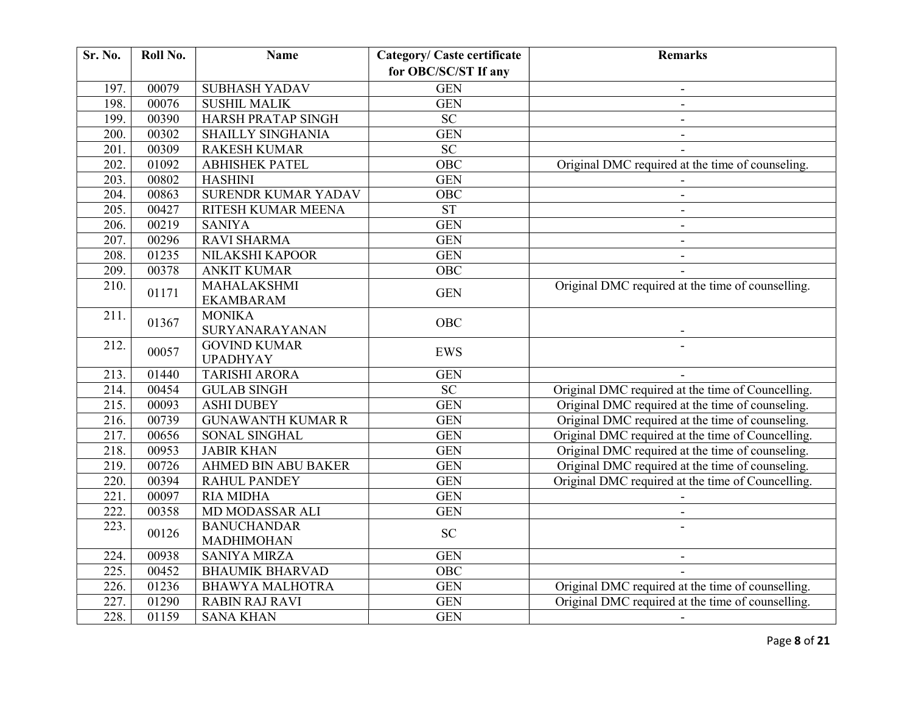| <b>Sr. No.</b>     | Roll No. | <b>Name</b>                            | <b>Category/ Caste certificate</b> | <b>Remarks</b>                                    |
|--------------------|----------|----------------------------------------|------------------------------------|---------------------------------------------------|
|                    |          |                                        | for OBC/SC/ST If any               |                                                   |
| 197.               | 00079    | <b>SUBHASH YADAV</b>                   | <b>GEN</b>                         |                                                   |
| 198.               | 00076    | <b>SUSHIL MALIK</b>                    | <b>GEN</b>                         |                                                   |
| 199.               | 00390    | HARSH PRATAP SINGH                     | <b>SC</b>                          |                                                   |
| 200.               | 00302    | <b>SHAILLY SINGHANIA</b>               | <b>GEN</b>                         |                                                   |
| 201.               | 00309    | <b>RAKESH KUMAR</b>                    | $\overline{SC}$                    |                                                   |
| 202.               | 01092    | <b>ABHISHEK PATEL</b>                  | OBC                                | Original DMC required at the time of counseling.  |
| 203.               | 00802    | <b>HASHINI</b>                         | <b>GEN</b>                         |                                                   |
| 204.               | 00863    | <b>SURENDR KUMAR YADAV</b>             | OBC                                | $\blacksquare$                                    |
| $\overline{205}$ . | 00427    | RITESH KUMAR MEENA                     | ST                                 | $\overline{\phantom{a}}$                          |
| 206.               | 00219    | <b>SANIYA</b>                          | <b>GEN</b>                         | $\blacksquare$                                    |
| 207.               | 00296    | <b>RAVI SHARMA</b>                     | <b>GEN</b>                         | $\blacksquare$                                    |
| 208.               | 01235    | NILAKSHI KAPOOR                        | <b>GEN</b>                         |                                                   |
| 209.               | 00378    | <b>ANKIT KUMAR</b>                     | <b>OBC</b>                         |                                                   |
| 210.               | 01171    | MAHALAKSHMI<br><b>EKAMBARAM</b>        | <b>GEN</b>                         | Original DMC required at the time of counselling. |
| 211.               | 01367    | <b>MONIKA</b><br>SURYANARAYANAN        | OBC                                |                                                   |
| $\overline{212}$   | 00057    | <b>GOVIND KUMAR</b><br><b>UPADHYAY</b> | <b>EWS</b>                         |                                                   |
| 213.               | 01440    | <b>TARISHI ARORA</b>                   | <b>GEN</b>                         |                                                   |
| $\overline{2}14.$  | 00454    | <b>GULAB SINGH</b>                     | $\overline{SC}$                    | Original DMC required at the time of Councelling. |
| 215.               | 00093    | <b>ASHI DUBEY</b>                      | <b>GEN</b>                         | Original DMC required at the time of counseling.  |
| 216.               | 00739    | <b>GUNAWANTH KUMAR R</b>               | <b>GEN</b>                         | Original DMC required at the time of counseling.  |
| 217.               | 00656    | <b>SONAL SINGHAL</b>                   | <b>GEN</b>                         | Original DMC required at the time of Councelling. |
| 218.               | 00953    | <b>JABIR KHAN</b>                      | <b>GEN</b>                         | Original DMC required at the time of counseling.  |
| 219.               | 00726    | AHMED BIN ABU BAKER                    | <b>GEN</b>                         | Original DMC required at the time of counseling.  |
| 220.               | 00394    | <b>RAHUL PANDEY</b>                    | <b>GEN</b>                         | Original DMC required at the time of Councelling. |
| $\overline{221}$ . | 00097    | <b>RIA MIDHA</b>                       | <b>GEN</b>                         |                                                   |
| 222.               | 00358    | MD MODASSAR ALI                        | <b>GEN</b>                         |                                                   |
| 223.               | 00126    | <b>BANUCHANDAR</b><br>MADHIMOHAN       | <b>SC</b>                          |                                                   |
| 224.               | 00938    | <b>SANIYA MIRZA</b>                    | <b>GEN</b>                         | $\blacksquare$                                    |
| 225.               | 00452    | <b>BHAUMIK BHARVAD</b>                 | OBC                                |                                                   |
| 226.               | 01236    | <b>BHAWYA MALHOTRA</b>                 | <b>GEN</b>                         | Original DMC required at the time of counselling. |
| 227.               | 01290    | <b>RABIN RAJ RAVI</b>                  | <b>GEN</b>                         | Original DMC required at the time of counselling. |
| 228.               | 01159    | <b>SANA KHAN</b>                       | <b>GEN</b>                         |                                                   |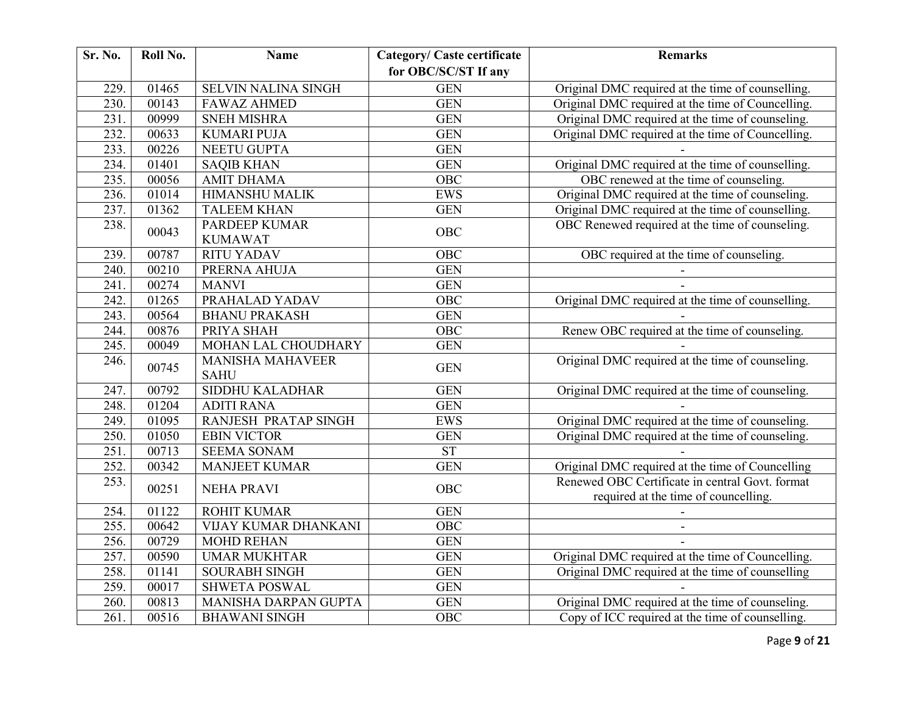| Sr. No.            | Roll No. | <b>Name</b>                            | <b>Category/ Caste certificate</b> | <b>Remarks</b>                                                                          |
|--------------------|----------|----------------------------------------|------------------------------------|-----------------------------------------------------------------------------------------|
|                    |          |                                        | for OBC/SC/ST If any               |                                                                                         |
| 229.               | 01465    | <b>SELVIN NALINA SINGH</b>             | <b>GEN</b>                         | Original DMC required at the time of counselling.                                       |
| 230.               | 00143    | <b>FAWAZ AHMED</b>                     | <b>GEN</b>                         | Original DMC required at the time of Councelling.                                       |
| 231.               | 00999    | <b>SNEH MISHRA</b>                     | <b>GEN</b>                         | Original DMC required at the time of counseling.                                        |
| 232.               | 00633    | <b>KUMARI PUJA</b>                     | <b>GEN</b>                         | Original DMC required at the time of Councelling.                                       |
| 233.               | 00226    | NEETU GUPTA                            | <b>GEN</b>                         |                                                                                         |
| 234.               | 01401    | <b>SAQIB KHAN</b>                      | <b>GEN</b>                         | Original DMC required at the time of counselling.                                       |
| 235.               | 00056    | <b>AMIT DHAMA</b>                      | <b>OBC</b>                         | OBC renewed at the time of counseling.                                                  |
| 236.               | 01014    | <b>HIMANSHU MALIK</b>                  | <b>EWS</b>                         | Original DMC required at the time of counseling.                                        |
| 237.               | 01362    | <b>TALEEM KHAN</b>                     | <b>GEN</b>                         | Original DMC required at the time of counselling.                                       |
| 238.               | 00043    | <b>PARDEEP KUMAR</b><br><b>KUMAWAT</b> | <b>OBC</b>                         | OBC Renewed required at the time of counseling.                                         |
| 239.               | 00787    | <b>RITU YADAV</b>                      | OBC                                | OBC required at the time of counseling.                                                 |
| 240.               | 00210    | PRERNA AHUJA                           | <b>GEN</b>                         |                                                                                         |
| 241.               | 00274    | <b>MANVI</b>                           | <b>GEN</b>                         |                                                                                         |
| 242.               | 01265    | PRAHALAD YADAV                         | OBC                                | Original DMC required at the time of counselling.                                       |
| 243.               | 00564    | <b>BHANU PRAKASH</b>                   | <b>GEN</b>                         |                                                                                         |
| 244.               | 00876    | PRIYA SHAH                             | $\overline{OBC}$                   | Renew OBC required at the time of counseling.                                           |
| 245.               | 00049    | MOHAN LAL CHOUDHARY                    | <b>GEN</b>                         |                                                                                         |
| 246.               | 00745    | <b>MANISHA MAHAVEER</b><br><b>SAHU</b> | <b>GEN</b>                         | Original DMC required at the time of counseling.                                        |
| 247.               | 00792    | <b>SIDDHU KALADHAR</b>                 | <b>GEN</b>                         | Original DMC required at the time of counseling.                                        |
| 248.               | 01204    | <b>ADITI RANA</b>                      | <b>GEN</b>                         |                                                                                         |
| 249.               | 01095    | RANJESH PRATAP SINGH                   | <b>EWS</b>                         | Original DMC required at the time of counseling.                                        |
| 250.               | 01050    | <b>EBIN VICTOR</b>                     | <b>GEN</b>                         | Original DMC required at the time of counseling.                                        |
| $\overline{251}$ . | 00713    | <b>SEEMA SONAM</b>                     | ST                                 |                                                                                         |
| 252.               | 00342    | <b>MANJEET KUMAR</b>                   | <b>GEN</b>                         | Original DMC required at the time of Councelling                                        |
| 253.               | 00251    | <b>NEHA PRAVI</b>                      | OBC                                | Renewed OBC Certificate in central Govt. format<br>required at the time of councelling. |
| 254.               | 01122    | <b>ROHIT KUMAR</b>                     | <b>GEN</b>                         |                                                                                         |
| 255.               | 00642    | VIJAY KUMAR DHANKANI                   | <b>OBC</b>                         |                                                                                         |
| 256.               | 00729    | <b>MOHD REHAN</b>                      | <b>GEN</b>                         |                                                                                         |
| 257.               | 00590    | <b>UMAR MUKHTAR</b>                    | <b>GEN</b>                         | Original DMC required at the time of Councelling.                                       |
| 258.               | 01141    | SOURABH SINGH                          | <b>GEN</b>                         | Original DMC required at the time of counselling                                        |
| 259.               | 00017    | <b>SHWETA POSWAL</b>                   | <b>GEN</b>                         |                                                                                         |
| 260.               | 00813    | MANISHA DARPAN GUPTA                   | <b>GEN</b>                         | Original DMC required at the time of counseling.                                        |
| $\overline{261}$ . | 00516    | <b>BHAWANI SINGH</b>                   | $\overline{OBC}$                   | Copy of ICC required at the time of counselling.                                        |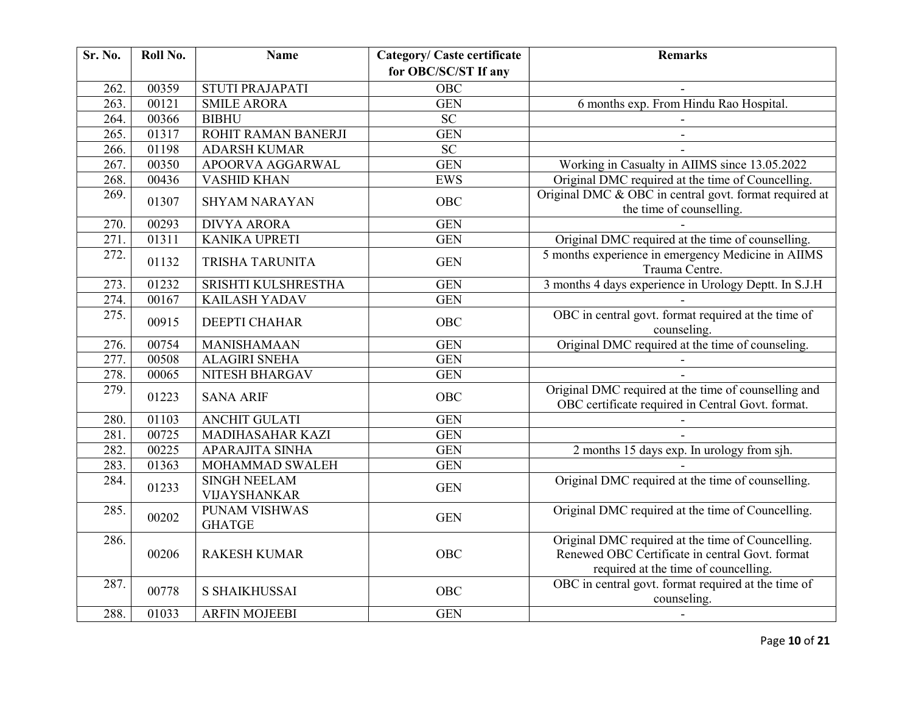| Sr. No.            | Roll No. | <b>Name</b>                           | <b>Category/ Caste certificate</b> | <b>Remarks</b>                                                                                                                               |
|--------------------|----------|---------------------------------------|------------------------------------|----------------------------------------------------------------------------------------------------------------------------------------------|
|                    |          |                                       | for OBC/SC/ST If any               |                                                                                                                                              |
| 262.               | 00359    | <b>STUTI PRAJAPATI</b>                | $\overline{OBC}$                   |                                                                                                                                              |
| $\overline{263}$ . | 00121    | <b>SMILE ARORA</b>                    | <b>GEN</b>                         | 6 months exp. From Hindu Rao Hospital.                                                                                                       |
| 264.               | 00366    | <b>BIBHU</b>                          | $\overline{SC}$                    |                                                                                                                                              |
| 265.               | 01317    | ROHIT RAMAN BANERJI                   | <b>GEN</b>                         |                                                                                                                                              |
| 266.               | 01198    | <b>ADARSH KUMAR</b>                   | <b>SC</b>                          |                                                                                                                                              |
| 267.               | 00350    | APOORVA AGGARWAL                      | <b>GEN</b>                         | Working in Casualty in AIIMS since 13.05.2022                                                                                                |
| 268.               | 00436    | <b>VASHID KHAN</b>                    | <b>EWS</b>                         | Original DMC required at the time of Councelling.                                                                                            |
| 269.               | 01307    | <b>SHYAM NARAYAN</b>                  | OBC                                | Original DMC & OBC in central govt. format required at<br>the time of counselling.                                                           |
| 270.               | 00293    | <b>DIVYA ARORA</b>                    | <b>GEN</b>                         |                                                                                                                                              |
| $\overline{271}$ . | 01311    | <b>KANIKA UPRETI</b>                  | <b>GEN</b>                         | Original DMC required at the time of counselling.                                                                                            |
| 272.               | 01132    | TRISHA TARUNITA                       | <b>GEN</b>                         | 5 months experience in emergency Medicine in AIIMS<br>Trauma Centre.                                                                         |
| 273.               | 01232    | SRISHTI KULSHRESTHA                   | <b>GEN</b>                         | 3 months 4 days experience in Urology Deptt. In S.J.H                                                                                        |
| 274.               | 00167    | <b>KAILASH YADAV</b>                  | <b>GEN</b>                         |                                                                                                                                              |
| $\overline{275}$ . | 00915    | <b>DEEPTI CHAHAR</b>                  | <b>OBC</b>                         | OBC in central govt. format required at the time of<br>counseling.                                                                           |
| 276.               | 00754    | <b>MANISHAMAAN</b>                    | <b>GEN</b>                         | Original DMC required at the time of counseling.                                                                                             |
| 277.               | 00508    | <b>ALAGIRI SNEHA</b>                  | <b>GEN</b>                         |                                                                                                                                              |
| 278.               | 00065    | NITESH BHARGAV                        | <b>GEN</b>                         |                                                                                                                                              |
| 279.               | 01223    | <b>SANA ARIF</b>                      | <b>OBC</b>                         | Original DMC required at the time of counselling and<br>OBC certificate required in Central Govt. format.                                    |
| 280.               | 01103    | <b>ANCHIT GULATI</b>                  | <b>GEN</b>                         |                                                                                                                                              |
| 281.               | 00725    | MADIHASAHAR KAZI                      | <b>GEN</b>                         |                                                                                                                                              |
| 282.               | 00225    | <b>APARAJITA SINHA</b>                | <b>GEN</b>                         | 2 months 15 days exp. In urology from sjh.                                                                                                   |
| 283.               | 01363    | MOHAMMAD SWALEH                       | <b>GEN</b>                         |                                                                                                                                              |
| 284.               | 01233    | <b>SINGH NEELAM</b><br>VIJAYSHANKAR   | <b>GEN</b>                         | Original DMC required at the time of counselling.                                                                                            |
| $\overline{285}$ . | 00202    | <b>PUNAM VISHWAS</b><br><b>GHATGE</b> | <b>GEN</b>                         | Original DMC required at the time of Councelling.                                                                                            |
| 286.               | 00206    | <b>RAKESH KUMAR</b>                   | <b>OBC</b>                         | Original DMC required at the time of Councelling.<br>Renewed OBC Certificate in central Govt. format<br>required at the time of councelling. |
| 287.               | 00778    | <b>S SHAIKHUSSAI</b>                  | OBC                                | OBC in central govt. format required at the time of<br>counseling.                                                                           |
| 288.               | 01033    | <b>ARFIN MOJEEBI</b>                  | <b>GEN</b>                         | $\blacksquare$                                                                                                                               |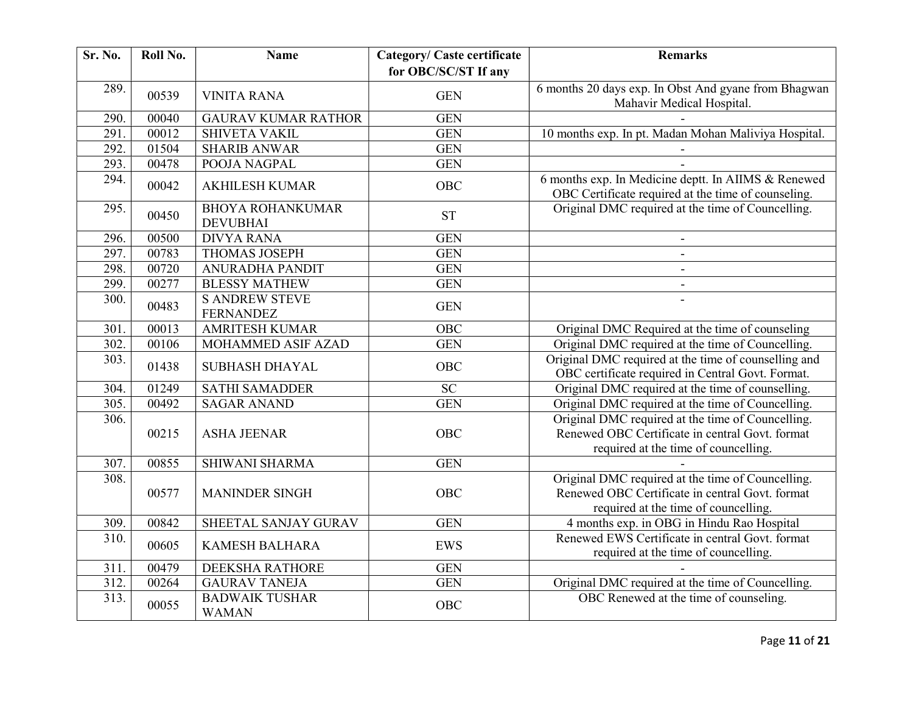| Sr. No. | Roll No. | <b>Name</b>                                | <b>Category/ Caste certificate</b> | <b>Remarks</b>                                                                                                                               |
|---------|----------|--------------------------------------------|------------------------------------|----------------------------------------------------------------------------------------------------------------------------------------------|
|         |          |                                            | for OBC/SC/ST If any               |                                                                                                                                              |
| 289.    | 00539    | <b>VINITA RANA</b>                         | <b>GEN</b>                         | 6 months 20 days exp. In Obst And gyane from Bhagwan<br>Mahavir Medical Hospital.                                                            |
| 290.    | 00040    | <b>GAURAV KUMAR RATHOR</b>                 | <b>GEN</b>                         |                                                                                                                                              |
| 291.    | 00012    | <b>SHIVETA VAKIL</b>                       | <b>GEN</b>                         | 10 months exp. In pt. Madan Mohan Maliviya Hospital.                                                                                         |
| 292.    | 01504    | <b>SHARIB ANWAR</b>                        | <b>GEN</b>                         |                                                                                                                                              |
| 293.    | 00478    | POOJA NAGPAL                               | <b>GEN</b>                         |                                                                                                                                              |
| 294.    | 00042    | <b>AKHILESH KUMAR</b>                      | <b>OBC</b>                         | 6 months exp. In Medicine deptt. In AIIMS & Renewed<br>OBC Certificate required at the time of counseling.                                   |
| 295.    | 00450    | <b>BHOYA ROHANKUMAR</b><br><b>DEVUBHAI</b> | <b>ST</b>                          | Original DMC required at the time of Councelling.                                                                                            |
| 296.    | 00500    | <b>DIVYA RANA</b>                          | <b>GEN</b>                         | $\overline{\phantom{a}}$                                                                                                                     |
| 297.    | 00783    | <b>THOMAS JOSEPH</b>                       | <b>GEN</b>                         | $\overline{\phantom{a}}$                                                                                                                     |
| 298.    | 00720    | ANURADHA PANDIT                            | <b>GEN</b>                         |                                                                                                                                              |
| 299.    | 00277    | <b>BLESSY MATHEW</b>                       | <b>GEN</b>                         | $\overline{\phantom{a}}$                                                                                                                     |
| 300.    | 00483    | <b>S ANDREW STEVE</b><br><b>FERNANDEZ</b>  | <b>GEN</b>                         |                                                                                                                                              |
| 301.    | 00013    | <b>AMRITESH KUMAR</b>                      | <b>OBC</b>                         | Original DMC Required at the time of counseling                                                                                              |
| 302.    | 00106    | MOHAMMED ASIF AZAD                         | <b>GEN</b>                         | Original DMC required at the time of Councelling.                                                                                            |
| 303.    | 01438    | <b>SUBHASH DHAYAL</b>                      | <b>OBC</b>                         | Original DMC required at the time of counselling and<br>OBC certificate required in Central Govt. Format.                                    |
| 304.    | 01249    | <b>SATHI SAMADDER</b>                      | $\overline{SC}$                    | Original DMC required at the time of counselling.                                                                                            |
| 305.    | 00492    | <b>SAGAR ANAND</b>                         | <b>GEN</b>                         | Original DMC required at the time of Councelling.                                                                                            |
| 306.    | 00215    | <b>ASHA JEENAR</b>                         | <b>OBC</b>                         | Original DMC required at the time of Councelling.<br>Renewed OBC Certificate in central Govt. format<br>required at the time of councelling. |
| 307.    | 00855    | SHIWANI SHARMA                             | <b>GEN</b>                         |                                                                                                                                              |
| 308.    | 00577    | <b>MANINDER SINGH</b>                      | OBC                                | Original DMC required at the time of Councelling.<br>Renewed OBC Certificate in central Govt. format<br>required at the time of councelling. |
| 309.    | 00842    | SHEETAL SANJAY GURAV                       | <b>GEN</b>                         | 4 months exp. in OBG in Hindu Rao Hospital                                                                                                   |
| 310.    | 00605    | <b>KAMESH BALHARA</b>                      | <b>EWS</b>                         | Renewed EWS Certificate in central Govt. format<br>required at the time of councelling.                                                      |
| 311.    | 00479    | <b>DEEKSHA RATHORE</b>                     | <b>GEN</b>                         |                                                                                                                                              |
| 312.    | 00264    | <b>GAURAV TANEJA</b>                       | <b>GEN</b>                         | Original DMC required at the time of Councelling.                                                                                            |
| 313.    | 00055    | <b>BADWAIK TUSHAR</b><br><b>WAMAN</b>      | <b>OBC</b>                         | OBC Renewed at the time of counseling.                                                                                                       |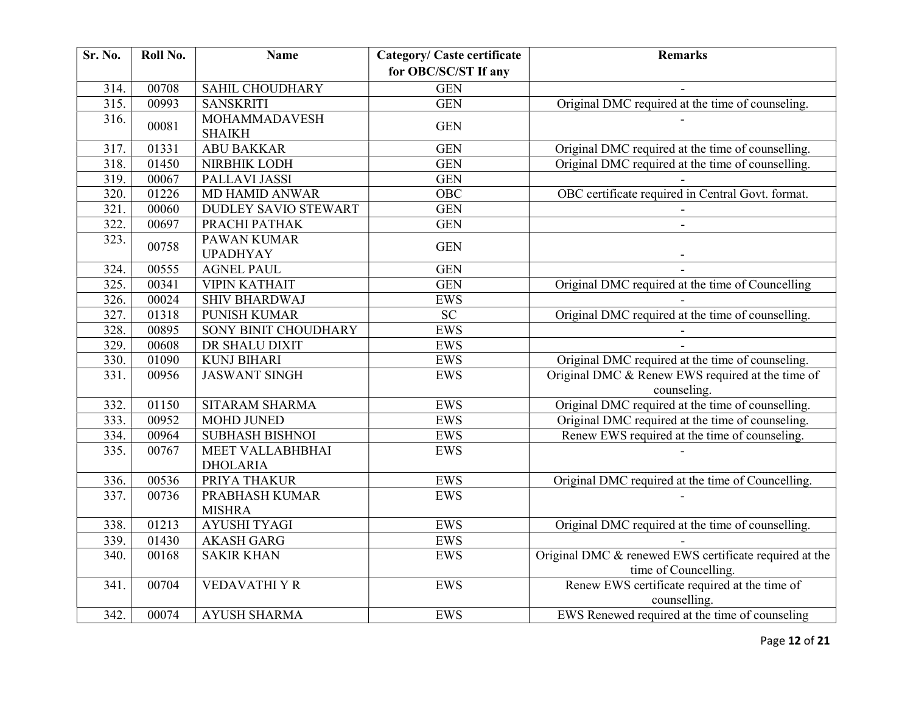| <b>Sr. No.</b> | Roll No. | <b>Name</b>                           | <b>Category/ Caste certificate</b> | <b>Remarks</b>                                                                 |
|----------------|----------|---------------------------------------|------------------------------------|--------------------------------------------------------------------------------|
|                |          |                                       | for OBC/SC/ST If any               |                                                                                |
| 314.           | 00708    | SAHIL CHOUDHARY                       | <b>GEN</b>                         |                                                                                |
| 315.           | 00993    | <b>SANSKRITI</b>                      | GEN                                | Original DMC required at the time of counseling.                               |
| 316.           | 00081    | <b>MOHAMMADAVESH</b><br><b>SHAIKH</b> | <b>GEN</b>                         |                                                                                |
| 317.           | 01331    | <b>ABU BAKKAR</b>                     | <b>GEN</b>                         | Original DMC required at the time of counselling.                              |
| 318.           | 01450    | NIRBHIK LODH                          | <b>GEN</b>                         | Original DMC required at the time of counselling.                              |
| 319.           | 00067    | PALLAVI JASSI                         | <b>GEN</b>                         |                                                                                |
| 320.           | 01226    | <b>MD HAMID ANWAR</b>                 | $O\overline{BC}$                   | OBC certificate required in Central Govt. format.                              |
| 321.           | 00060    | <b>DUDLEY SAVIO STEWART</b>           | <b>GEN</b>                         |                                                                                |
| 322.           | 00697    | PRACHI PATHAK                         | <b>GEN</b>                         |                                                                                |
| 323.           | 00758    | PAWAN KUMAR<br><b>UPADHYAY</b>        | <b>GEN</b>                         |                                                                                |
| 324.           | 00555    | <b>AGNEL PAUL</b>                     | <b>GEN</b>                         |                                                                                |
| 325.           | 00341    | <b>VIPIN KATHAIT</b>                  | <b>GEN</b>                         | Original DMC required at the time of Councelling                               |
| 326.           | 00024    | <b>SHIV BHARDWAJ</b>                  | <b>EWS</b>                         |                                                                                |
| 327.           | 01318    | <b>PUNISH KUMAR</b>                   | $\overline{SC}$                    | Original DMC required at the time of counselling.                              |
| 328.           | 00895    | <b>SONY BINIT CHOUDHARY</b>           | EWS                                |                                                                                |
| 329.           | 00608    | <b>DR SHALU DIXIT</b>                 | EWS                                |                                                                                |
| 330.           | 01090    | <b>KUNJ BIHARI</b>                    | EWS                                | Original DMC required at the time of counseling.                               |
| 331.           | 00956    | <b>JASWANT SINGH</b>                  | <b>EWS</b>                         | Original DMC & Renew EWS required at the time of<br>counseling.                |
| 332.           | 01150    | SITARAM SHARMA                        | <b>EWS</b>                         | Original DMC required at the time of counselling.                              |
| 333.           | 00952    | <b>MOHD JUNED</b>                     | <b>EWS</b>                         | Original DMC required at the time of counseling.                               |
| 334.           | 00964    | <b>SUBHASH BISHNOI</b>                | <b>EWS</b>                         | Renew EWS required at the time of counseling.                                  |
| 335.           | 00767    | <b>MEET VALLABHBHAI</b>               | EWS                                |                                                                                |
|                |          | <b>DHOLARIA</b>                       |                                    |                                                                                |
| 336.           | 00536    | PRIYA THAKUR                          | <b>EWS</b>                         | Original DMC required at the time of Councelling.                              |
| 337.           | 00736    | PRABHASH KUMAR<br><b>MISHRA</b>       | EWS                                |                                                                                |
| 338.           | 01213    | <b>AYUSHI TYAGI</b>                   | <b>EWS</b>                         | Original DMC required at the time of counselling.                              |
| 339.           | 01430    | <b>AKASH GARG</b>                     | <b>EWS</b>                         |                                                                                |
| 340.           | 00168    | <b>SAKIR KHAN</b>                     | <b>EWS</b>                         | Original DMC & renewed EWS certificate required at the<br>time of Councelling. |
| 341.           | 00704    | <b>VEDAVATHIYR</b>                    | <b>EWS</b>                         | Renew EWS certificate required at the time of<br>counselling.                  |
| 342.           | 00074    | <b>AYUSH SHARMA</b>                   | <b>EWS</b>                         | EWS Renewed required at the time of counseling                                 |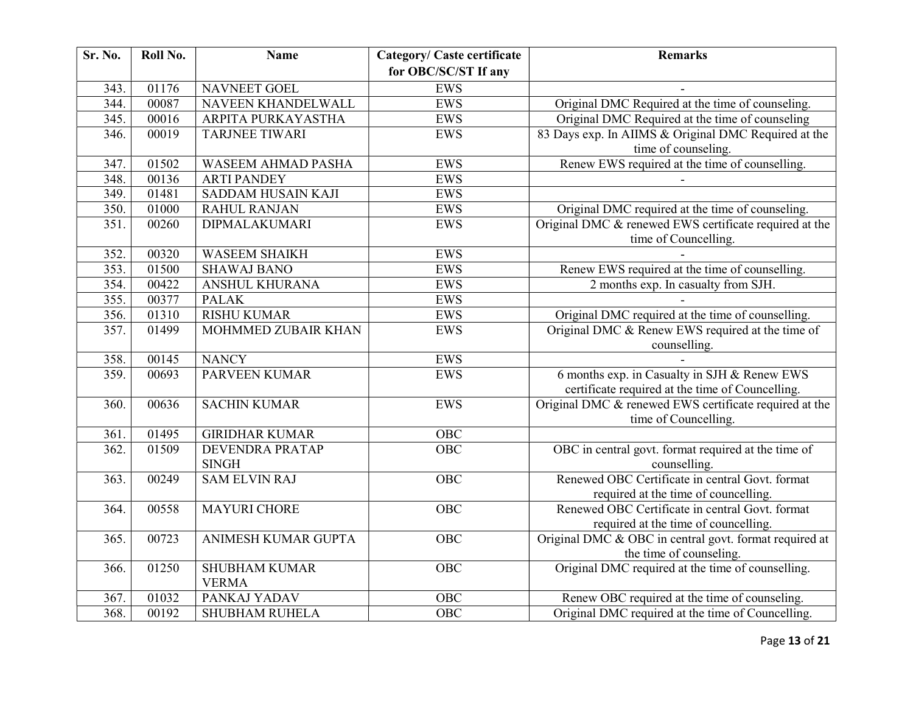| Sr. No. | Roll No. | <b>Name</b>                          | <b>Category/ Caste certificate</b> | <b>Remarks</b>                                                                                   |
|---------|----------|--------------------------------------|------------------------------------|--------------------------------------------------------------------------------------------------|
|         |          |                                      | for OBC/SC/ST If any               |                                                                                                  |
| 343.    | 01176    | <b>NAVNEET GOEL</b>                  | <b>EWS</b>                         |                                                                                                  |
| 344.    | 00087    | NAVEEN KHANDELWALL                   | EWS                                | Original DMC Required at the time of counseling.                                                 |
| 345.    | 00016    | ARPITA PURKAYASTHA                   | <b>EWS</b>                         | Original DMC Required at the time of counseling                                                  |
| 346.    | 00019    | <b>TARJNEE TIWARI</b>                | <b>EWS</b>                         | 83 Days exp. In AIIMS & Original DMC Required at the<br>time of counseling.                      |
| 347.    | 01502    | <b>WASEEM AHMAD PASHA</b>            | <b>EWS</b>                         | Renew EWS required at the time of counselling.                                                   |
| 348.    | 00136    | <b>ARTI PANDEY</b>                   | <b>EWS</b>                         |                                                                                                  |
| 349.    | 01481    | SADDAM HUSAIN KAJI                   | <b>EWS</b>                         |                                                                                                  |
| 350.    | 01000    | <b>RAHUL RANJAN</b>                  | <b>EWS</b>                         | Original DMC required at the time of counseling.                                                 |
| 351.    | 00260    | <b>DIPMALAKUMARI</b>                 | <b>EWS</b>                         | Original DMC & renewed EWS certificate required at the<br>time of Councelling.                   |
| 352.    | 00320    | <b>WASEEM SHAIKH</b>                 | <b>EWS</b>                         |                                                                                                  |
| 353.    | 01500    | <b>SHAWAJ BANO</b>                   | <b>EWS</b>                         | Renew EWS required at the time of counselling.                                                   |
| 354.    | 00422    | ANSHUL KHURANA                       | <b>EWS</b>                         | 2 months exp. In casualty from SJH.                                                              |
| 355.    | 00377    | <b>PALAK</b>                         | <b>EWS</b>                         |                                                                                                  |
| 356.    | 01310    | <b>RISHU KUMAR</b>                   | <b>EWS</b>                         | Original DMC required at the time of counselling.                                                |
| 357.    | 01499    | MOHMMED ZUBAIR KHAN                  | <b>EWS</b>                         | Original DMC & Renew EWS required at the time of<br>counselling.                                 |
| 358.    | 00145    | <b>NANCY</b>                         | <b>EWS</b>                         |                                                                                                  |
| 359.    | 00693    | <b>PARVEEN KUMAR</b>                 | <b>EWS</b>                         | 6 months exp. in Casualty in SJH & Renew EWS<br>certificate required at the time of Councelling. |
| 360.    | 00636    | <b>SACHIN KUMAR</b>                  | <b>EWS</b>                         | Original DMC & renewed EWS certificate required at the<br>time of Councelling.                   |
| 361.    | 01495    | <b>GIRIDHAR KUMAR</b>                | OBC                                |                                                                                                  |
| 362.    | 01509    | DEVENDRA PRATAP<br><b>SINGH</b>      | OBC                                | OBC in central govt. format required at the time of<br>counselling.                              |
| 363.    | 00249    | <b>SAM ELVIN RAJ</b>                 | <b>OBC</b>                         | Renewed OBC Certificate in central Govt. format<br>required at the time of councelling.          |
| 364.    | 00558    | <b>MAYURI CHORE</b>                  | <b>OBC</b>                         | Renewed OBC Certificate in central Govt. format<br>required at the time of councelling.          |
| 365.    | 00723    | ANIMESH KUMAR GUPTA                  | OBC                                | Original DMC & OBC in central govt. format required at<br>the time of counseling.                |
| 366.    | 01250    | <b>SHUBHAM KUMAR</b><br><b>VERMA</b> | $\overline{OBC}$                   | Original DMC required at the time of counselling.                                                |
| 367.    | 01032    | PANKAJ YADAV                         | OBC                                | Renew OBC required at the time of counseling.                                                    |
| 368.    | 00192    | SHUBHAM RUHELA                       | $\overline{OBC}$                   | Original DMC required at the time of Councelling.                                                |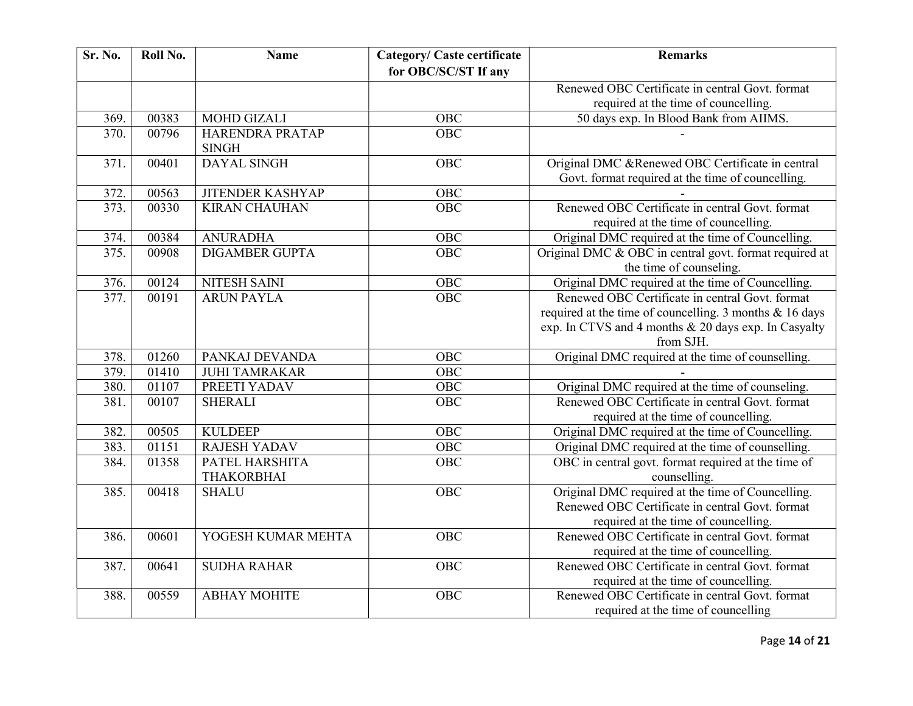| Sr. No. | Roll No. | <b>Name</b>                     | <b>Category/ Caste certificate</b><br>for OBC/SC/ST If any | <b>Remarks</b>                                                                                        |
|---------|----------|---------------------------------|------------------------------------------------------------|-------------------------------------------------------------------------------------------------------|
|         |          |                                 |                                                            | Renewed OBC Certificate in central Govt. format                                                       |
|         |          |                                 |                                                            | required at the time of councelling.                                                                  |
| 369.    | 00383    | <b>MOHD GIZALI</b>              | <b>OBC</b>                                                 | 50 days exp. In Blood Bank from AIIMS.                                                                |
|         |          |                                 | <b>OBC</b>                                                 |                                                                                                       |
| 370.    | 00796    | HARENDRA PRATAP<br><b>SINGH</b> |                                                            |                                                                                                       |
| 371.    | 00401    | <b>DAYAL SINGH</b>              | <b>OBC</b>                                                 | Original DMC &Renewed OBC Certificate in central<br>Govt. format required at the time of councelling. |
| 372.    | 00563    | <b>JITENDER KASHYAP</b>         | OBC                                                        |                                                                                                       |
| 373.    | 00330    | <b>KIRAN CHAUHAN</b>            | <b>OBC</b>                                                 | Renewed OBC Certificate in central Govt. format<br>required at the time of councelling.               |
| 374.    | 00384    | <b>ANURADHA</b>                 | OBC                                                        | Original DMC required at the time of Councelling.                                                     |
| 375.    | 00908    | <b>DIGAMBER GUPTA</b>           | OBC                                                        | Original DMC & OBC in central govt. format required at<br>the time of counseling.                     |
| 376.    | 00124    | NITESH SAINI                    | OBC                                                        | Original DMC required at the time of Councelling.                                                     |
| 377.    | 00191    | <b>ARUN PAYLA</b>               | OBC                                                        | Renewed OBC Certificate in central Govt. format                                                       |
|         |          |                                 |                                                            | required at the time of councelling. 3 months & 16 days                                               |
|         |          |                                 |                                                            | exp. In CTVS and 4 months & 20 days exp. In Casyalty                                                  |
|         |          |                                 |                                                            | from SJH.                                                                                             |
| 378.    | 01260    | PANKAJ DEVANDA                  | OBC                                                        | Original DMC required at the time of counselling.                                                     |
| 379.    | 01410    | <b>JUHI TAMRAKAR</b>            | OBC                                                        |                                                                                                       |
| 380.    | 01107    | PREETI YADAV                    | OBC                                                        | Original DMC required at the time of counseling.                                                      |
| 381.    | 00107    | <b>SHERALI</b>                  | OBC                                                        | Renewed OBC Certificate in central Govt. format                                                       |
|         |          |                                 |                                                            | required at the time of councelling.                                                                  |
| 382.    | 00505    | <b>KULDEEP</b>                  | <b>OBC</b>                                                 | Original DMC required at the time of Councelling.                                                     |
| 383.    | 01151    | <b>RAJESH YADAV</b>             | <b>OBC</b>                                                 | Original DMC required at the time of counselling.                                                     |
| 384.    | 01358    | PATEL HARSHITA                  | OBC                                                        | OBC in central govt. format required at the time of                                                   |
|         |          | <b>THAKORBHAI</b>               |                                                            | counselling.                                                                                          |
| 385.    | 00418    | <b>SHALU</b>                    | OBC                                                        | Original DMC required at the time of Councelling.                                                     |
|         |          |                                 |                                                            | Renewed OBC Certificate in central Govt. format                                                       |
|         |          |                                 |                                                            | required at the time of councelling.                                                                  |
| 386.    | 00601    | YOGESH KUMAR MEHTA              | OBC                                                        | Renewed OBC Certificate in central Govt. format                                                       |
|         |          |                                 |                                                            | required at the time of councelling.                                                                  |
| 387.    | 00641    | <b>SUDHA RAHAR</b>              | <b>OBC</b>                                                 | Renewed OBC Certificate in central Govt. format                                                       |
|         |          |                                 |                                                            | required at the time of councelling.                                                                  |
| 388.    | 00559    | <b>ABHAY MOHITE</b>             | OBC                                                        | Renewed OBC Certificate in central Govt. format                                                       |
|         |          |                                 |                                                            | required at the time of councelling                                                                   |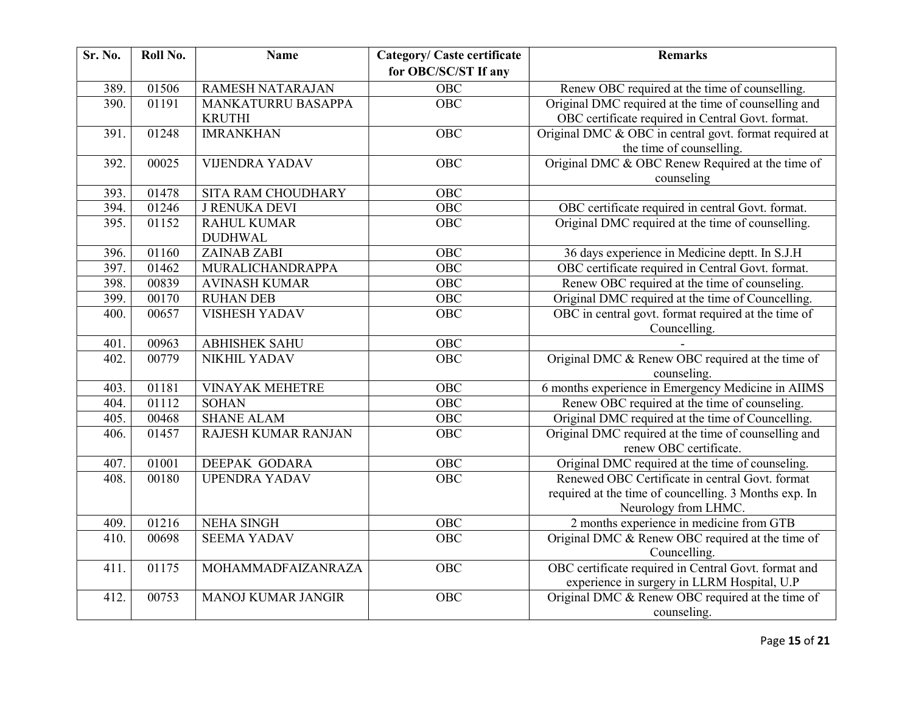| Sr. No. | Roll No. | <b>Name</b>               | <b>Category/ Caste certificate</b> | <b>Remarks</b>                                         |
|---------|----------|---------------------------|------------------------------------|--------------------------------------------------------|
|         |          |                           | for OBC/SC/ST If any               |                                                        |
| 389.    | 01506    | <b>RAMESH NATARAJAN</b>   | <b>OBC</b>                         | Renew OBC required at the time of counselling.         |
| 390.    | 01191    | MANKATURRU BASAPPA        | $\overline{OBC}$                   | Original DMC required at the time of counselling and   |
|         |          | <b>KRUTHI</b>             |                                    | OBC certificate required in Central Govt. format.      |
| 391.    | 01248    | <b>IMRANKHAN</b>          | <b>OBC</b>                         | Original DMC & OBC in central govt. format required at |
|         |          |                           |                                    | the time of counselling.                               |
| 392.    | 00025    | <b>VIJENDRA YADAV</b>     | OBC                                | Original DMC & OBC Renew Required at the time of       |
|         |          |                           |                                    | counseling                                             |
| 393.    | 01478    | SITA RAM CHOUDHARY        | OBC                                |                                                        |
| 394.    | 01246    | <b>J RENUKA DEVI</b>      | OBC                                | OBC certificate required in central Govt. format.      |
| 395.    | 01152    | <b>RAHUL KUMAR</b>        | OBC                                | Original DMC required at the time of counselling.      |
|         |          | <b>DUDHWAL</b>            |                                    |                                                        |
| 396.    | 01160    | <b>ZAINAB ZABI</b>        | OBC                                | 36 days experience in Medicine deptt. In S.J.H         |
| 397.    | 01462    | MURALICHANDRAPPA          | OBC                                | OBC certificate required in Central Govt. format.      |
| 398.    | 00839    | <b>AVINASH KUMAR</b>      | $\overline{OBC}$                   | Renew OBC required at the time of counseling.          |
| 399.    | 00170    | <b>RUHAN DEB</b>          | OBC                                | Original DMC required at the time of Councelling.      |
| 400.    | 00657    | <b>VISHESH YADAV</b>      | OBC                                | OBC in central govt. format required at the time of    |
|         |          |                           |                                    | Councelling.                                           |
| 401.    | 00963    | <b>ABHISHEK SAHU</b>      | OBC                                |                                                        |
| 402.    | 00779    | <b>NIKHIL YADAV</b>       | <b>OBC</b>                         | Original DMC & Renew OBC required at the time of       |
|         |          |                           |                                    | counseling.                                            |
| 403.    | 01181    | <b>VINAYAK MEHETRE</b>    | OBC                                | 6 months experience in Emergency Medicine in AIIMS     |
| 404.    | 01112    | <b>SOHAN</b>              | OBC                                | Renew OBC required at the time of counseling.          |
| 405.    | 00468    | <b>SHANE ALAM</b>         | <b>OBC</b>                         | Original DMC required at the time of Councelling.      |
| 406.    | 01457    | RAJESH KUMAR RANJAN       | OBC                                | Original DMC required at the time of counselling and   |
|         |          |                           |                                    | renew OBC certificate.                                 |
| 407.    | 01001    | DEEPAK GODARA             | OBC                                | Original DMC required at the time of counseling.       |
| 408.    | 00180    | <b>UPENDRA YADAV</b>      | $\overline{OBC}$                   | Renewed OBC Certificate in central Govt. format        |
|         |          |                           |                                    | required at the time of councelling. 3 Months exp. In  |
|         |          |                           |                                    | Neurology from LHMC.                                   |
| 409.    | 01216    | <b>NEHA SINGH</b>         | OBC                                | 2 months experience in medicine from GTB               |
| 410.    | 00698    | <b>SEEMA YADAV</b>        | $\overline{OBC}$                   | Original DMC & Renew OBC required at the time of       |
|         |          |                           |                                    | Councelling.                                           |
| 411.    | 01175    | MOHAMMADFAIZANRAZA        | <b>OBC</b>                         | OBC certificate required in Central Govt. format and   |
|         |          |                           |                                    | experience in surgery in LLRM Hospital, U.P            |
| 412.    | 00753    | <b>MANOJ KUMAR JANGIR</b> | $\overline{OBC}$                   | Original DMC & Renew OBC required at the time of       |
|         |          |                           |                                    | counseling.                                            |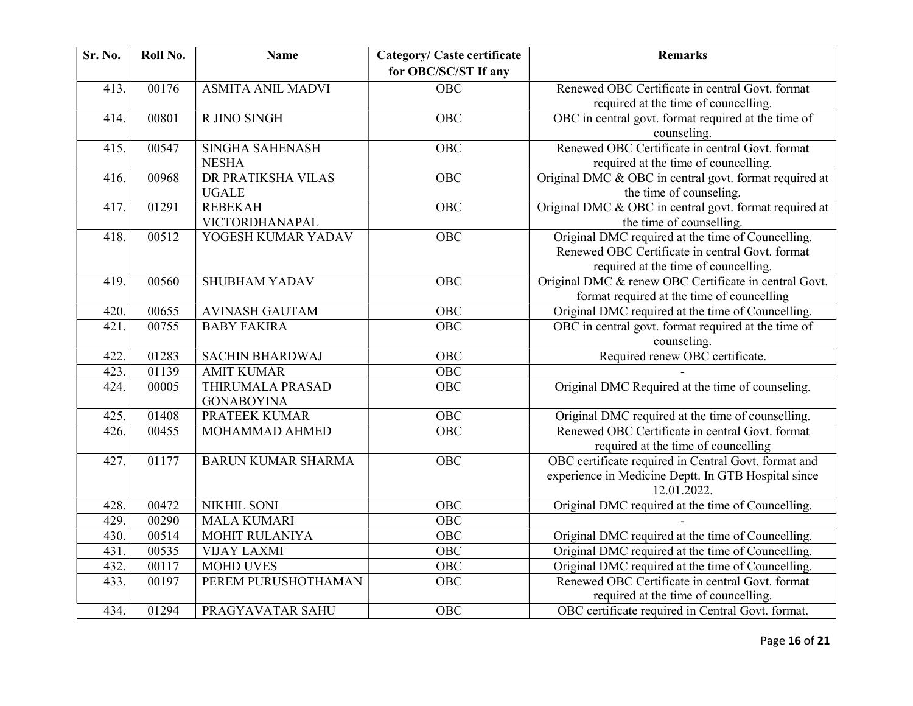| Sr. No. | Roll No. | <b>Name</b>                            | <b>Category/ Caste certificate</b><br>for OBC/SC/ST If any | <b>Remarks</b>                                                                                                                               |
|---------|----------|----------------------------------------|------------------------------------------------------------|----------------------------------------------------------------------------------------------------------------------------------------------|
| 413.    | 00176    | <b>ASMITA ANIL MADVI</b>               | OBC                                                        | Renewed OBC Certificate in central Govt. format                                                                                              |
|         |          |                                        |                                                            | required at the time of councelling.                                                                                                         |
| 414.    | 00801    | R JINO SINGH                           | <b>OBC</b>                                                 | OBC in central govt. format required at the time of<br>counseling.                                                                           |
| 415.    | 00547    | <b>SINGHA SAHENASH</b><br><b>NESHA</b> | <b>OBC</b>                                                 | Renewed OBC Certificate in central Govt. format<br>required at the time of councelling.                                                      |
| 416.    | 00968    | DR PRATIKSHA VILAS<br><b>UGALE</b>     | OBC                                                        | Original DMC & OBC in central govt. format required at<br>the time of counseling.                                                            |
| 417.    | 01291    | <b>REBEKAH</b><br>VICTORDHANAPAL       | OBC                                                        | Original DMC & OBC in central govt. format required at<br>the time of counselling.                                                           |
| 418.    | 00512    | YOGESH KUMAR YADAV                     | <b>OBC</b>                                                 | Original DMC required at the time of Councelling.<br>Renewed OBC Certificate in central Govt. format<br>required at the time of councelling. |
| 419.    | 00560    | <b>SHUBHAM YADAV</b>                   | <b>OBC</b>                                                 | Original DMC & renew OBC Certificate in central Govt.<br>format required at the time of councelling                                          |
| 420.    | 00655    | <b>AVINASH GAUTAM</b>                  | $\overline{OBC}$                                           | Original DMC required at the time of Councelling.                                                                                            |
| 421     | 00755    | <b>BABY FAKIRA</b>                     | $\overline{OBC}$                                           | OBC in central govt. format required at the time of<br>counseling.                                                                           |
| 422.    | 01283    | <b>SACHIN BHARDWAJ</b>                 | OBC                                                        | Required renew OBC certificate.                                                                                                              |
| 423.    | 01139    | <b>AMIT KUMAR</b>                      | <b>OBC</b>                                                 |                                                                                                                                              |
| 424.    | 00005    | THIRUMALA PRASAD<br><b>GONABOYINA</b>  | OBC                                                        | Original DMC Required at the time of counseling.                                                                                             |
| 425.    | 01408    | <b>PRATEEK KUMAR</b>                   | OBC                                                        | Original DMC required at the time of counselling.                                                                                            |
| 426.    | 00455    | MOHAMMAD AHMED                         | $\overline{OBC}$                                           | Renewed OBC Certificate in central Govt. format<br>required at the time of councelling                                                       |
| 427.    | 01177    | <b>BARUN KUMAR SHARMA</b>              | <b>OBC</b>                                                 | OBC certificate required in Central Govt. format and<br>experience in Medicine Deptt. In GTB Hospital since<br>12.01.2022.                   |
| 428.    | 00472    | <b>NIKHIL SONI</b>                     | <b>OBC</b>                                                 | Original DMC required at the time of Councelling.                                                                                            |
| 429.    | 00290    | <b>MALA KUMARI</b>                     | $\overline{OBC}$                                           |                                                                                                                                              |
| 430.    | 00514    | MOHIT RULANIYA                         | <b>OBC</b>                                                 | Original DMC required at the time of Councelling.                                                                                            |
| 431.    | 00535    | <b>VIJAY LAXMI</b>                     | OBC                                                        | Original DMC required at the time of Councelling.                                                                                            |
| 432.    | 00117    | <b>MOHD UVES</b>                       | $\overline{OBC}$                                           | Original DMC required at the time of Councelling.                                                                                            |
| 433.    | 00197    | PEREM PURUSHOTHAMAN                    | OBC                                                        | Renewed OBC Certificate in central Govt. format<br>required at the time of councelling.                                                      |
| 434.    | 01294    | PRAGYAVATAR SAHU                       | OBC                                                        | OBC certificate required in Central Govt. format.                                                                                            |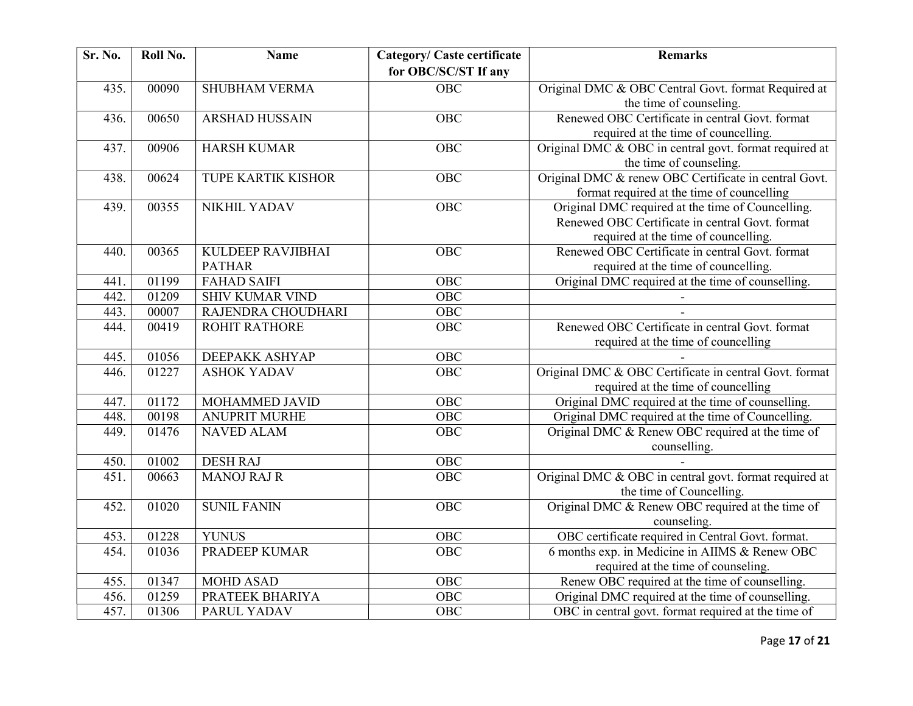| Sr. No. | Roll No. | <b>Name</b>               | <b>Category/ Caste certificate</b> | <b>Remarks</b>                                         |
|---------|----------|---------------------------|------------------------------------|--------------------------------------------------------|
|         |          |                           | for OBC/SC/ST If any               |                                                        |
| 435.    | 00090    | <b>SHUBHAM VERMA</b>      | <b>OBC</b>                         | Original DMC & OBC Central Govt. format Required at    |
|         |          |                           |                                    | the time of counseling.                                |
| 436.    | 00650    | <b>ARSHAD HUSSAIN</b>     | <b>OBC</b>                         | Renewed OBC Certificate in central Govt. format        |
|         |          |                           |                                    | required at the time of councelling.                   |
| 437.    | 00906    | <b>HARSH KUMAR</b>        | OBC                                | Original DMC & OBC in central govt. format required at |
|         |          |                           |                                    | the time of counseling.                                |
| 438.    | 00624    | <b>TUPE KARTIK KISHOR</b> | OBC                                | Original DMC & renew OBC Certificate in central Govt.  |
|         |          |                           |                                    | format required at the time of councelling             |
| 439.    | 00355    | NIKHIL YADAV              | OBC                                | Original DMC required at the time of Councelling.      |
|         |          |                           |                                    | Renewed OBC Certificate in central Govt. format        |
|         |          |                           |                                    | required at the time of councelling.                   |
| 440.    | 00365    | KULDEEP RAVJIBHAI         | <b>OBC</b>                         | Renewed OBC Certificate in central Govt. format        |
|         |          | <b>PATHAR</b>             |                                    | required at the time of councelling.                   |
| 441.    | 01199    | <b>FAHAD SAIFI</b>        | OBC                                | Original DMC required at the time of counselling.      |
| 442.    | 01209    | <b>SHIV KUMAR VIND</b>    | $O\overline{BC}$                   |                                                        |
| 443.    | 00007    | RAJENDRA CHOUDHARI        | <b>OBC</b>                         |                                                        |
| 444.    | 00419    | <b>ROHIT RATHORE</b>      | <b>OBC</b>                         | Renewed OBC Certificate in central Govt. format        |
|         |          |                           |                                    | required at the time of councelling                    |
| 445.    | 01056    | <b>DEEPAKK ASHYAP</b>     | OBC                                |                                                        |
| 446.    | 01227    | <b>ASHOK YADAV</b>        | <b>OBC</b>                         | Original DMC & OBC Certificate in central Govt. format |
|         |          |                           |                                    | required at the time of councelling                    |
| 447.    | 01172    | MOHAMMED JAVID            | <b>OBC</b>                         | Original DMC required at the time of counselling.      |
| 448.    | 00198    | <b>ANUPRIT MURHE</b>      | <b>OBC</b>                         | Original DMC required at the time of Councelling.      |
| 449.    | 01476    | <b>NAVED ALAM</b>         | $\overline{OBC}$                   | Original DMC & Renew OBC required at the time of       |
|         |          |                           |                                    | counselling.                                           |
| 450.    | 01002    | <b>DESH RAJ</b>           | OBC                                |                                                        |
| 451.    | 00663    | <b>MANOJ RAJ R</b>        | <b>OBC</b>                         | Original DMC & OBC in central govt. format required at |
|         |          |                           |                                    | the time of Councelling.                               |
| 452.    | 01020    | <b>SUNIL FANIN</b>        | OBC                                | Original DMC & Renew OBC required at the time of       |
|         |          |                           |                                    | counseling.                                            |
| 453.    | 01228    | <b>YUNUS</b>              | <b>OBC</b>                         | OBC certificate required in Central Govt. format.      |
| 454.    | 01036    | <b>PRADEEP KUMAR</b>      | OBC                                | 6 months exp. in Medicine in AIIMS & Renew OBC         |
|         |          |                           |                                    | required at the time of counseling.                    |
| 455.    | 01347    | <b>MOHD ASAD</b>          | <b>OBC</b>                         | Renew OBC required at the time of counselling.         |
| 456.    | 01259    | PRATEEK BHARIYA           | OBC                                | Original DMC required at the time of counselling.      |
| 457.    | 01306    | PARUL YADAV               | <b>OBC</b>                         | OBC in central govt. format required at the time of    |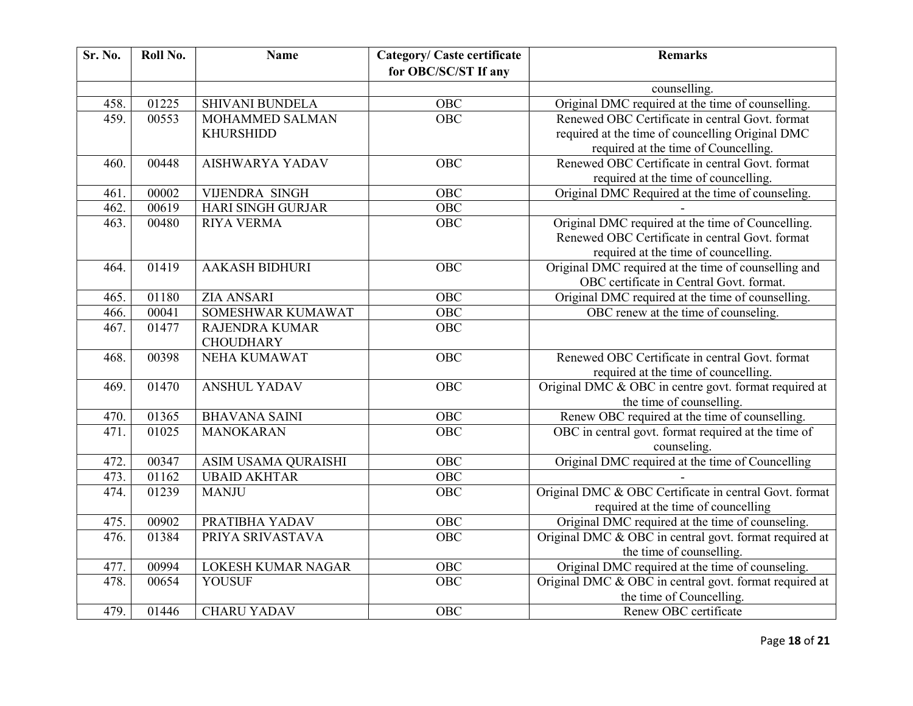| Sr. No. | Roll No. | <b>Name</b>                               | <b>Category/ Caste certificate</b><br>for OBC/SC/ST If any | <b>Remarks</b>                                                                                                                               |
|---------|----------|-------------------------------------------|------------------------------------------------------------|----------------------------------------------------------------------------------------------------------------------------------------------|
|         |          |                                           |                                                            | counselling.                                                                                                                                 |
| 458.    | 01225    | <b>SHIVANI BUNDELA</b>                    | <b>OBC</b>                                                 | Original DMC required at the time of counselling.                                                                                            |
| 459.    | 00553    | MOHAMMED SALMAN<br><b>KHURSHIDD</b>       | $\overline{OBC}$                                           | Renewed OBC Certificate in central Govt. format<br>required at the time of councelling Original DMC<br>required at the time of Councelling.  |
| 460.    | 00448    | <b>AISHWARYA YADAV</b>                    | <b>OBC</b>                                                 | Renewed OBC Certificate in central Govt. format<br>required at the time of councelling.                                                      |
| 461.    | 00002    | <b>VIJENDRA SINGH</b>                     | <b>OBC</b>                                                 | Original DMC Required at the time of counseling.                                                                                             |
| 462.    | 00619    | <b>HARI SINGH GURJAR</b>                  | <b>OBC</b>                                                 |                                                                                                                                              |
| 463.    | 00480    | <b>RIYA VERMA</b>                         | OBC                                                        | Original DMC required at the time of Councelling.<br>Renewed OBC Certificate in central Govt. format<br>required at the time of councelling. |
| 464.    | 01419    | <b>AAKASH BIDHURI</b>                     | <b>OBC</b>                                                 | Original DMC required at the time of counselling and<br>OBC certificate in Central Govt. format.                                             |
| 465.    | 01180    | <b>ZIA ANSARI</b>                         | <b>OBC</b>                                                 | Original DMC required at the time of counselling.                                                                                            |
| 466.    | 00041    | SOMESHWAR KUMAWAT                         | $\overline{OBC}$                                           | OBC renew at the time of counseling.                                                                                                         |
| 467.    | 01477    | <b>RAJENDRA KUMAR</b><br><b>CHOUDHARY</b> | OBC                                                        |                                                                                                                                              |
| 468.    | 00398    | <b>NEHA KUMAWAT</b>                       | <b>OBC</b>                                                 | Renewed OBC Certificate in central Govt. format<br>required at the time of councelling.                                                      |
| 469.    | 01470    | <b>ANSHUL YADAV</b>                       | OBC                                                        | Original DMC & OBC in centre govt. format required at<br>the time of counselling.                                                            |
| 470.    | 01365    | <b>BHAVANA SAINI</b>                      | <b>OBC</b>                                                 | Renew OBC required at the time of counselling.                                                                                               |
| 471.    | 01025    | <b>MANOKARAN</b>                          | $\overline{OBC}$                                           | OBC in central govt. format required at the time of<br>counseling.                                                                           |
| 472.    | 00347    | ASIM USAMA QURAISHI                       | <b>OBC</b>                                                 | Original DMC required at the time of Councelling                                                                                             |
| 473.    | 01162    | <b>UBAID AKHTAR</b>                       | <b>OBC</b>                                                 |                                                                                                                                              |
| 474.    | 01239    | <b>MANJU</b>                              | <b>OBC</b>                                                 | Original DMC & OBC Certificate in central Govt. format<br>required at the time of councelling                                                |
| 475.    | 00902    | PRATIBHA YADAV                            | OBC                                                        | Original DMC required at the time of counseling.                                                                                             |
| 476.    | 01384    | PRIYA SRIVASTAVA                          | $\overline{OBC}$                                           | Original DMC & OBC in central govt. format required at<br>the time of counselling.                                                           |
| 477.    | 00994    | LOKESH KUMAR NAGAR                        | <b>OBC</b>                                                 | Original DMC required at the time of counseling.                                                                                             |
| 478.    | 00654    | <b>YOUSUF</b>                             | OBC                                                        | Original DMC & OBC in central govt. format required at<br>the time of Councelling.                                                           |
| 479.    | 01446    | <b>CHARU YADAV</b>                        | OBC                                                        | Renew OBC certificate                                                                                                                        |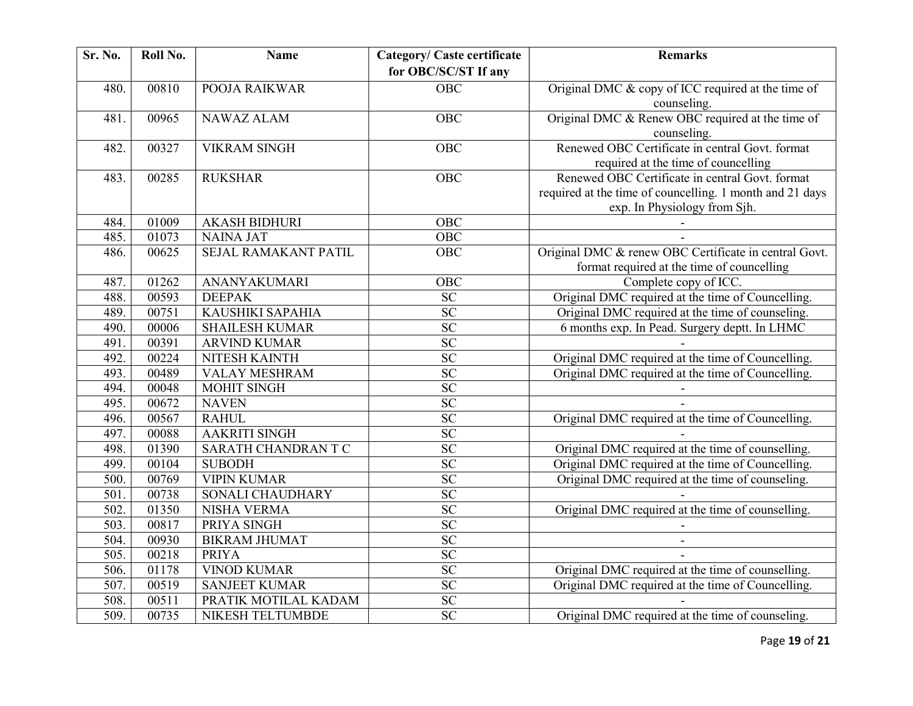| Sr. No. | Roll No. | <b>Name</b>                 | <b>Category/ Caste certificate</b><br>for OBC/SC/ST If any | <b>Remarks</b>                                                                                                                              |
|---------|----------|-----------------------------|------------------------------------------------------------|---------------------------------------------------------------------------------------------------------------------------------------------|
| 480.    | 00810    | POOJA RAIKWAR               | $\overline{OBC}$                                           | Original DMC & copy of ICC required at the time of<br>counseling.                                                                           |
| 481.    | 00965    | <b>NAWAZ ALAM</b>           | OBC                                                        | Original DMC & Renew OBC required at the time of<br>counseling.                                                                             |
| 482.    | 00327    | <b>VIKRAM SINGH</b>         | OBC                                                        | Renewed OBC Certificate in central Govt. format<br>required at the time of councelling                                                      |
| 483.    | 00285    | <b>RUKSHAR</b>              | <b>OBC</b>                                                 | Renewed OBC Certificate in central Govt. format<br>required at the time of councelling. 1 month and 21 days<br>exp. In Physiology from Sjh. |
| 484.    | 01009    | <b>AKASH BIDHURI</b>        | <b>OBC</b>                                                 |                                                                                                                                             |
| 485.    | 01073    | <b>NAINA JAT</b>            | $\overline{OBC}$                                           |                                                                                                                                             |
| 486.    | 00625    | <b>SEJAL RAMAKANT PATIL</b> | $\overline{OBC}$                                           | Original DMC & renew OBC Certificate in central Govt.<br>format required at the time of councelling                                         |
| 487.    | 01262    | ANANYAKUMARI                | OBC                                                        | Complete copy of ICC.                                                                                                                       |
| 488.    | 00593    | <b>DEEPAK</b>               | <b>SC</b>                                                  | Original DMC required at the time of Councelling.                                                                                           |
| 489.    | 00751    | KAUSHIKI SAPAHIA            | $\overline{SC}$                                            | Original DMC required at the time of counseling.                                                                                            |
| 490.    | 00006    | <b>SHAILESH KUMAR</b>       | <b>SC</b>                                                  | 6 months exp. In Pead. Surgery deptt. In LHMC                                                                                               |
| 491.    | 00391    | <b>ARVIND KUMAR</b>         | $\overline{SC}$                                            |                                                                                                                                             |
| 492.    | 00224    | NITESH KAINTH               | $\overline{SC}$                                            | Original DMC required at the time of Councelling.                                                                                           |
| 493.    | 00489    | <b>VALAY MESHRAM</b>        | $\overline{SC}$                                            | Original DMC required at the time of Councelling.                                                                                           |
| 494.    | 00048    | MOHIT SINGH                 | $\overline{SC}$                                            |                                                                                                                                             |
| 495.    | 00672    | <b>NAVEN</b>                | $\overline{SC}$                                            |                                                                                                                                             |
| 496.    | 00567    | <b>RAHUL</b>                | $\overline{SC}$                                            | Original DMC required at the time of Councelling.                                                                                           |
| 497.    | 00088    | <b>AAKRITI SINGH</b>        | $\overline{SC}$                                            |                                                                                                                                             |
| 498.    | 01390    | SARATH CHANDRAN T C         | $\overline{SC}$                                            | Original DMC required at the time of counselling.                                                                                           |
| 499.    | 00104    | <b>SUBODH</b>               | $\overline{SC}$                                            | Original DMC required at the time of Councelling.                                                                                           |
| 500.    | 00769    | <b>VIPIN KUMAR</b>          | SC                                                         | Original DMC required at the time of counseling.                                                                                            |
| 501.    | 00738    | SONALI CHAUDHARY            | $\overline{SC}$                                            |                                                                                                                                             |
| 502.    | 01350    | <b>NISHA VERMA</b>          | $\overline{SC}$                                            | Original DMC required at the time of counselling.                                                                                           |
| 503.    | 00817    | PRIYA SINGH                 | $\overline{SC}$                                            |                                                                                                                                             |
| 504.    | 00930    | <b>BIKRAM JHUMAT</b>        | $\overline{SC}$                                            |                                                                                                                                             |
| 505.    | 00218    | <b>PRIYA</b>                | SC                                                         |                                                                                                                                             |
| 506.    | 01178    | <b>VINOD KUMAR</b>          | $\overline{SC}$                                            | Original DMC required at the time of counselling.                                                                                           |
| 507.    | 00519    | <b>SANJEET KUMAR</b>        | SC                                                         | Original DMC required at the time of Councelling.                                                                                           |
| 508.    | 00511    | PRATIK MOTILAL KADAM        | SC                                                         |                                                                                                                                             |
| 509.    | 00735    | NIKESH TELTUMBDE            | $\overline{SC}$                                            | Original DMC required at the time of counseling.                                                                                            |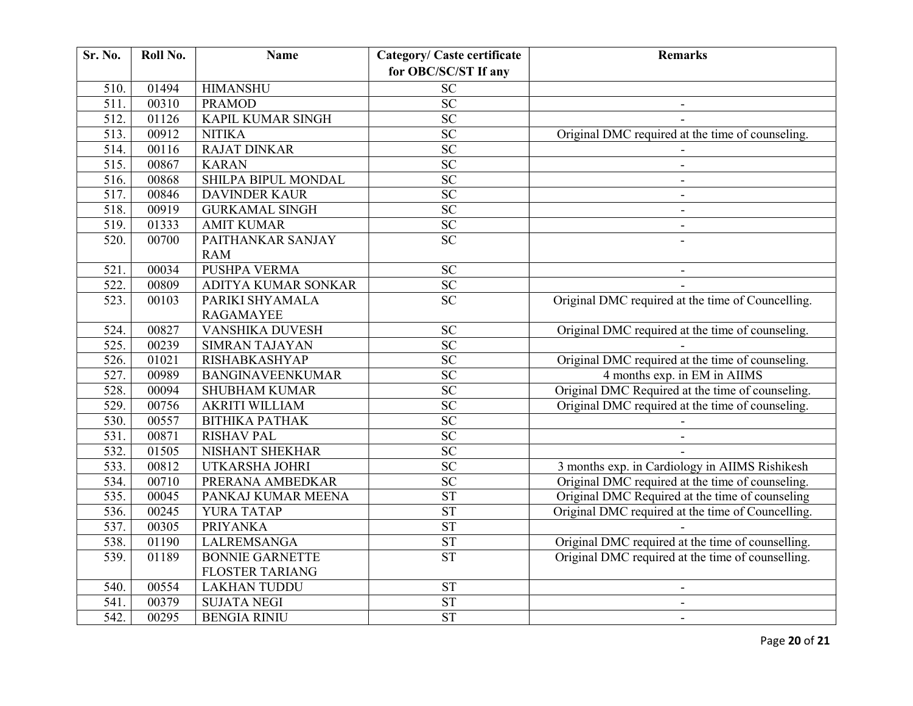| Sr. No.            | Roll No. | <b>Name</b>                       | <b>Category/ Caste certificate</b> | <b>Remarks</b>                                    |
|--------------------|----------|-----------------------------------|------------------------------------|---------------------------------------------------|
|                    |          |                                   | for OBC/SC/ST If any               |                                                   |
| 510.               | 01494    | <b>HIMANSHU</b>                   | SC                                 |                                                   |
| 511.               | 00310    | <b>PRAMOD</b>                     | $\overline{SC}$                    |                                                   |
| 512.               | 01126    | <b>KAPIL KUMAR SINGH</b>          | SC                                 |                                                   |
| $\overline{513}$ . | 00912    | <b>NITIKA</b>                     | $\overline{SC}$                    | Original DMC required at the time of counseling.  |
| 514.               | 00116    | <b>RAJAT DINKAR</b>               | <b>SC</b>                          |                                                   |
| $\overline{515}$ . | 00867    | <b>KARAN</b>                      | SC                                 | $\blacksquare$                                    |
| 516.               | 00868    | SHILPA BIPUL MONDAL               | SC                                 | $\blacksquare$                                    |
| 517.               | 00846    | <b>DAVINDER KAUR</b>              | $\overline{SC}$                    | $\blacksquare$                                    |
| 518.               | 00919    | <b>GURKAMAL SINGH</b>             | SC                                 | $\overline{\phantom{a}}$                          |
| 519.               | 01333    | <b>AMIT KUMAR</b>                 | SC                                 | $\overline{\phantom{a}}$                          |
| 520.               | 00700    | PAITHANKAR SANJAY                 | $\overline{SC}$                    |                                                   |
| 521.               | 00034    | <b>RAM</b><br><b>PUSHPA VERMA</b> | SC                                 |                                                   |
| 522.               | 00809    | ADITYA KUMAR SONKAR               | SC                                 |                                                   |
| 523.               | 00103    | PARIKI SHYAMALA                   | $\overline{SC}$                    | Original DMC required at the time of Councelling. |
|                    |          | <b>RAGAMAYEE</b>                  |                                    |                                                   |
| 524.               | 00827    | <b>VANSHIKA DUVESH</b>            | $\overline{SC}$                    | Original DMC required at the time of counseling.  |
| 525.               | 00239    | <b>SIMRAN TAJAYAN</b>             | SC                                 |                                                   |
| $\overline{526}$ . | 01021    | RISHABKASHYAP                     | $\overline{SC}$                    | Original DMC required at the time of counseling.  |
| 527.               | 00989    | <b>BANGINAVEENKUMAR</b>           | $\overline{SC}$                    | 4 months exp. in EM in AIIMS                      |
| 528.               | 00094    | <b>SHUBHAM KUMAR</b>              | SC                                 | Original DMC Required at the time of counseling.  |
| 529.               | 00756    | <b>AKRITI WILLIAM</b>             | $\overline{SC}$                    | Original DMC required at the time of counseling.  |
| 530.               | 00557    | ВІТНІКА РАТНАК                    | $\overline{SC}$                    |                                                   |
| 531.               | 00871    | <b>RISHAV PAL</b>                 | <b>SC</b>                          |                                                   |
| 532.               | 01505    | NISHANT SHEKHAR                   | <b>SC</b>                          |                                                   |
| 533.               | 00812    | <b>UTKARSHA JOHRI</b>             | $\overline{SC}$                    | 3 months exp. in Cardiology in AIIMS Rishikesh    |
| 534.               | 00710    | PRERANA AMBEDKAR                  | SC                                 | Original DMC required at the time of counseling.  |
| 535.               | 00045    | PANKAJ KUMAR MEENA                | <b>ST</b>                          | Original DMC Required at the time of counseling   |
| 536.               | 00245    | YURA TATAP                        | <b>ST</b>                          | Original DMC required at the time of Councelling. |
| 537.               | 00305    | <b>PRIYANKA</b>                   | <b>ST</b>                          |                                                   |
| 538.               | 01190    | <b>LALREMSANGA</b>                | <b>ST</b>                          | Original DMC required at the time of counselling. |
| 539.               | 01189    | <b>BONNIE GARNETTE</b>            | $\overline{\text{ST}}$             | Original DMC required at the time of counselling. |
|                    |          | <b>FLOSTER TARIANG</b>            |                                    |                                                   |
| 540.               | 00554    | <b>LAKHAN TUDDU</b>               | ${\cal S}{\cal T}$                 |                                                   |
| 541.               | 00379    | <b>SUJATA NEGI</b>                | <b>ST</b>                          |                                                   |
| $\overline{542}$ . | 00295    | <b>BENGIA RINIU</b>               | $\overline{\text{ST}}$             | $\blacksquare$                                    |